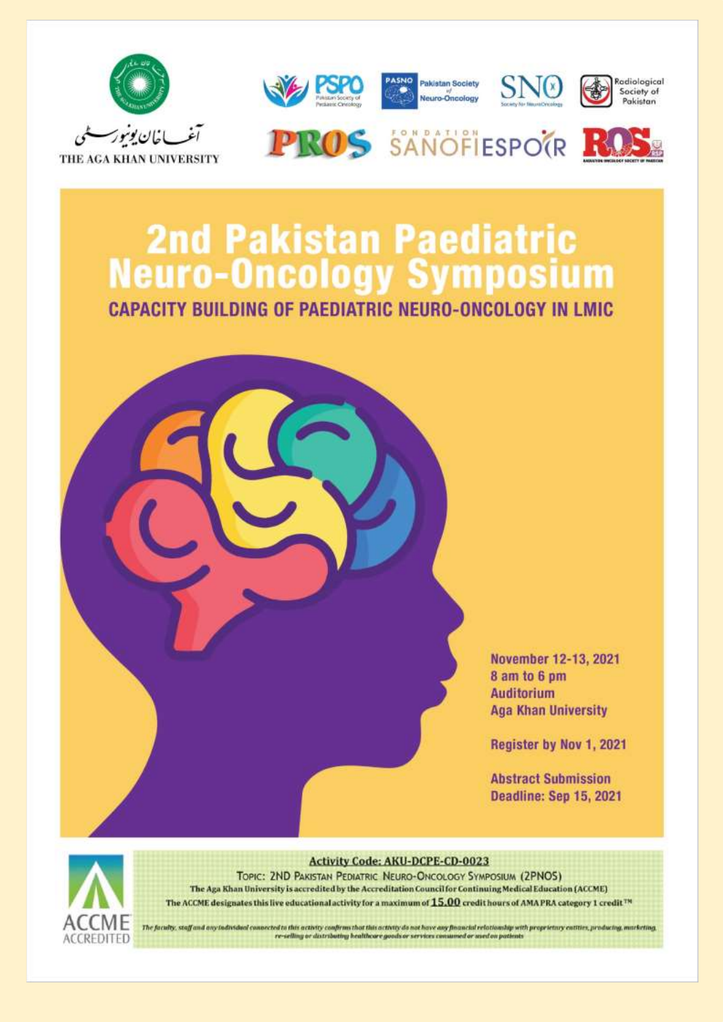

## **2nd Pakistan Paediatric Neuro-Oncology Symposium**

**CAPACITY BUILDING OF PAEDIATRIC NEURO-ONCOLOGY IN LMIC** 



November 12-13, 2021 8 am to 6 pm **Auditorium Aga Khan University** 

Register by Nov 1, 2021

**Abstract Submission** Deadline: Sep 15, 2021



**Activity Code: AKU-DCPE-CD-0023** 

TOPIC: 2ND PAKISTAN PEDIATRIC NEURO-ONCOLOGY SYMPOSIUM (2PNOS) The Aga Khan University is accredited by the Accreditation Council for Continuing Medical Education (ACCME) The ACCME designates this live educational activity for a maximum of  $15.00$  credit hours of AMA PRA category 1 credit<sup>78</sup>

The faculty, staff and any fadividual connected to this activity confirms that this activity do not have any financial relationship with proprietary entities, producing, marketing, re-selling or distributing healthcore goods or services a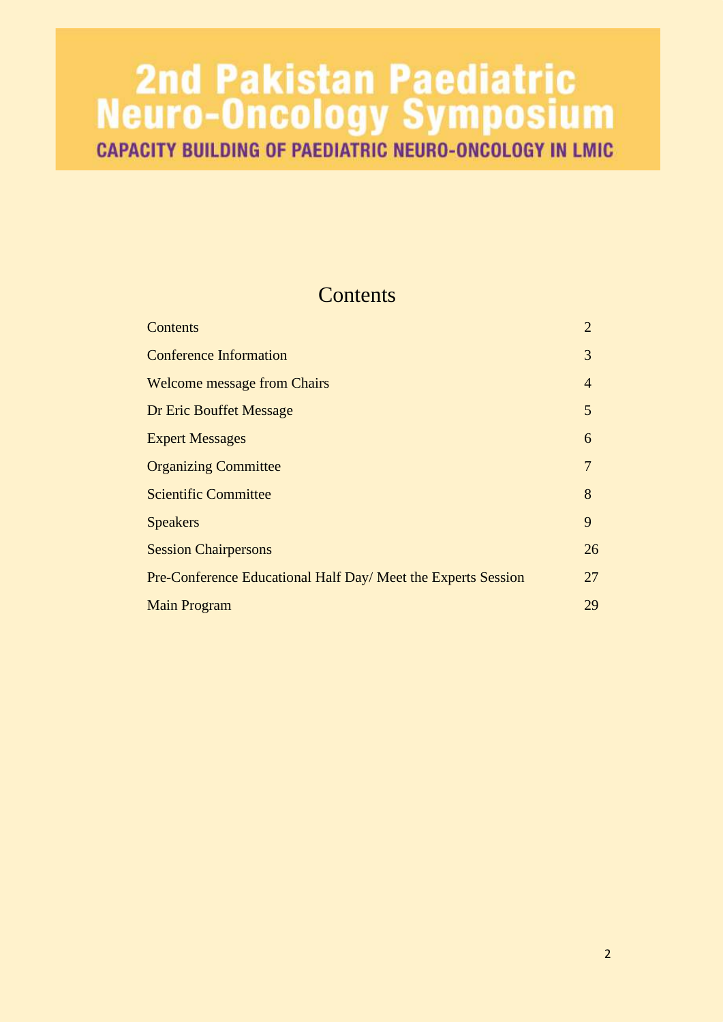# **2nd Pakistan Paediatric<br>Neuro-Oncology Symposium**<br>CAPACITY BUILDING OF PAEDIATRIC NEURO-ONCOLOGY IN LMIC

### **Contents**

| Contents                                                      | $\overline{2}$ |
|---------------------------------------------------------------|----------------|
| <b>Conference Information</b>                                 | 3              |
| <b>Welcome message from Chairs</b>                            | $\overline{4}$ |
| Dr Eric Bouffet Message                                       | 5              |
| <b>Expert Messages</b>                                        | 6              |
| <b>Organizing Committee</b>                                   | 7              |
| <b>Scientific Committee</b>                                   | 8              |
| <b>Speakers</b>                                               | 9              |
| <b>Session Chairpersons</b>                                   | 26             |
| Pre-Conference Educational Half Day/ Meet the Experts Session | 27             |
| <b>Main Program</b>                                           | 29             |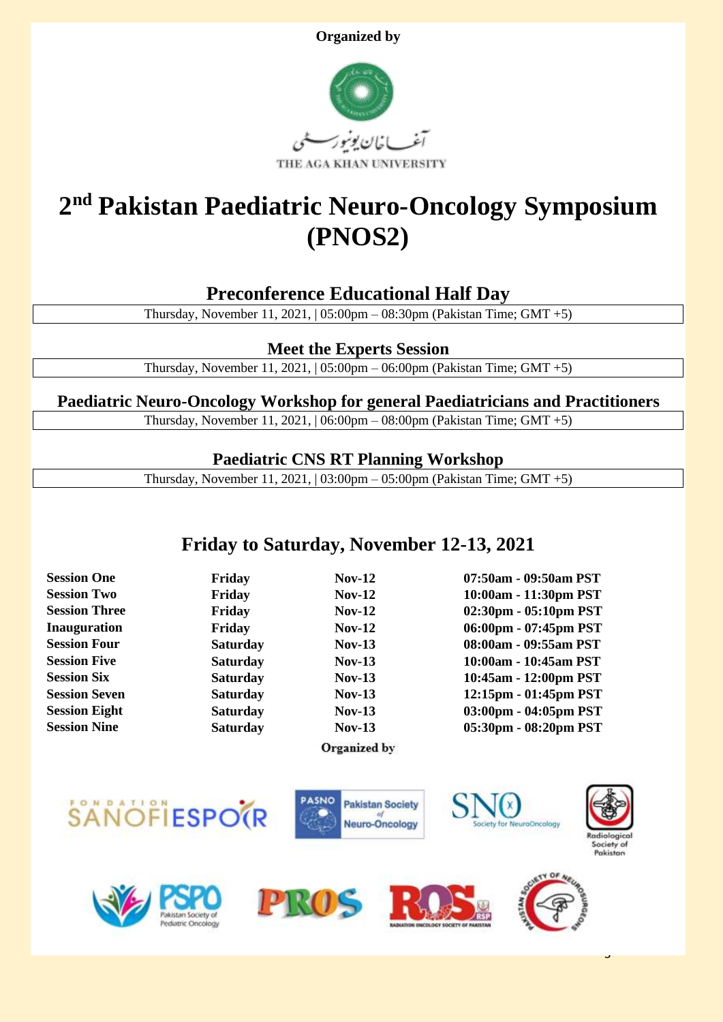



## **2 nd Pakistan Paediatric Neuro-Oncology Symposium (PNOS2)**

#### **Preconference Educational Half Day**

Thursday, November 11, 2021, | 05:00pm – 08:30pm (Pakistan Time; GMT +5)

#### **Meet the Experts Session**

Thursday, November 11, 2021, | 05:00pm – 06:00pm (Pakistan Time; GMT +5)

#### **Paediatric Neuro-Oncology Workshop for general Paediatricians and Practitioners**

Thursday, November 11, 2021, | 06:00pm – 08:00pm (Pakistan Time; GMT +5)

#### **Paediatric CNS RT Planning Workshop**

Thursday, November 11, 2021, | 03:00pm – 05:00pm (Pakistan Time; GMT +5)

#### **Friday to Saturday, November 12-13, 2021**

Organized by

**Session One Friday Nov-12 07:50am - 09:50am PST Session Two Friday Nov-12 10:00am - 11:30pm PST Session Three Friday Nov-12 02:30pm - 05:10pm PST Inauguration Friday Nov-12 06:00pm - 07:45pm PST Session Four Saturday Nov-13 08:00am - 09:55am PST Session Five Saturday Nov-13 10:00am - 10:45am PST Session Six Saturday Nov-13 10:45am - 12:00pm PST Session Seven Saturday Nov-13 12:15pm - 01:45pm PST Session Eight Saturday Nov-13 03:00pm - 04:05pm PST Session Nine Saturday Nov-13 05:30pm - 08:20pm PST**

3

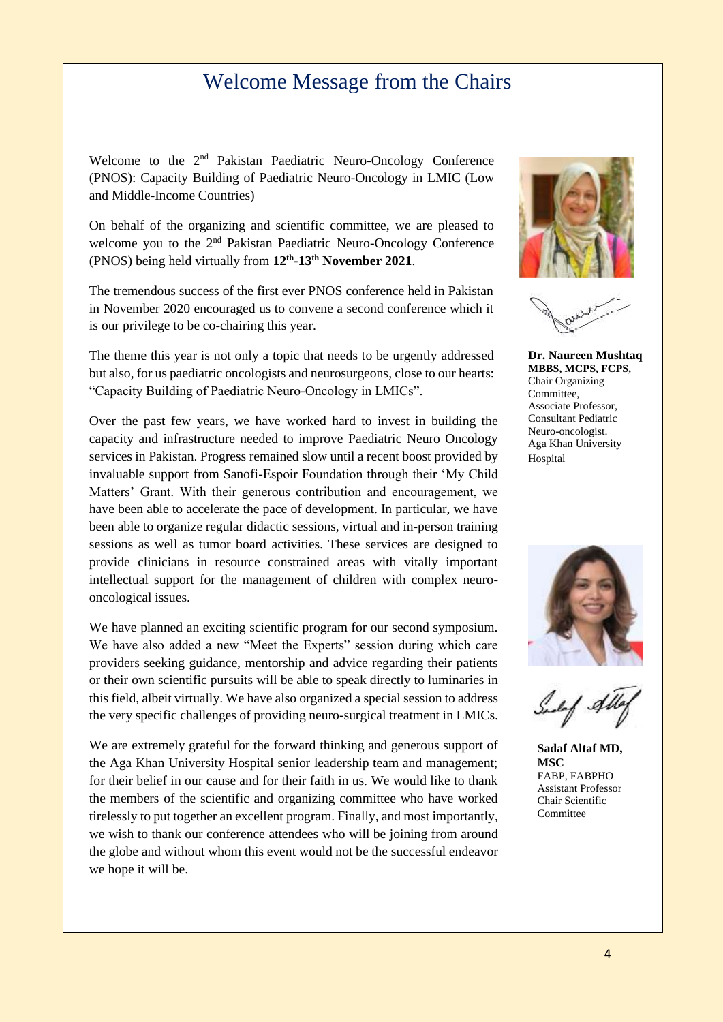#### Welcome Message from the Chairs

Welcome to the 2nd Pakistan Paediatric Neuro-Oncology Conference (PNOS): Capacity Building of Paediatric Neuro-Oncology in LMIC (Low and Middle-Income Countries)

On behalf of the organizing and scientific committee, we are pleased to welcome you to the 2<sup>nd</sup> Pakistan Paediatric Neuro-Oncology Conference (PNOS) being held virtually from **12 th -13th November 2021**.

The tremendous success of the first ever PNOS conference held in Pakistan in November 2020 encouraged us to convene a second conference which it is our privilege to be co-chairing this year.

The theme this year is not only a topic that needs to be urgently addressed but also, for us paediatric oncologists and neurosurgeons, close to our hearts: "Capacity Building of Paediatric Neuro-Oncology in LMICs".

Over the past few years, we have worked hard to invest in building the capacity and infrastructure needed to improve Paediatric Neuro Oncology services in Pakistan. Progress remained slow until a recent boost provided by invaluable support from Sanofi-Espoir Foundation through their 'My Child Matters' Grant. With their generous contribution and encouragement, we have been able to accelerate the pace of development. In particular, we have been able to organize regular didactic sessions, virtual and in-person training sessions as well as tumor board activities. These services are designed to provide clinicians in resource constrained areas with vitally important intellectual support for the management of children with complex neurooncological issues.

We have planned an exciting scientific program for our second symposium. We have also added a new "Meet the Experts" session during which care providers seeking guidance, mentorship and advice regarding their patients or their own scientific pursuits will be able to speak directly to luminaries in this field, albeit virtually. We have also organized a special session to address the very specific challenges of providing neuro-surgical treatment in LMICs.

We are extremely grateful for the forward thinking and generous support of the Aga Khan University Hospital senior leadership team and management; for their belief in our cause and for their faith in us. We would like to thank the members of the scientific and organizing committee who have worked tirelessly to put together an excellent program. Finally, and most importantly, we wish to thank our conference attendees who will be joining from around the globe and without whom this event would not be the successful endeavor we hope it will be.





**Dr. Naureen Mushtaq MBBS, MCPS, FCPS,** Chair Organizing Committee, Associate Professor, Consultant Pediatric Neuro-oncologist. Aga Khan University Hospital



**Sadaf Altaf MD, MSC** FABP, FABPHO Assistant Professor Chair Scientific Committee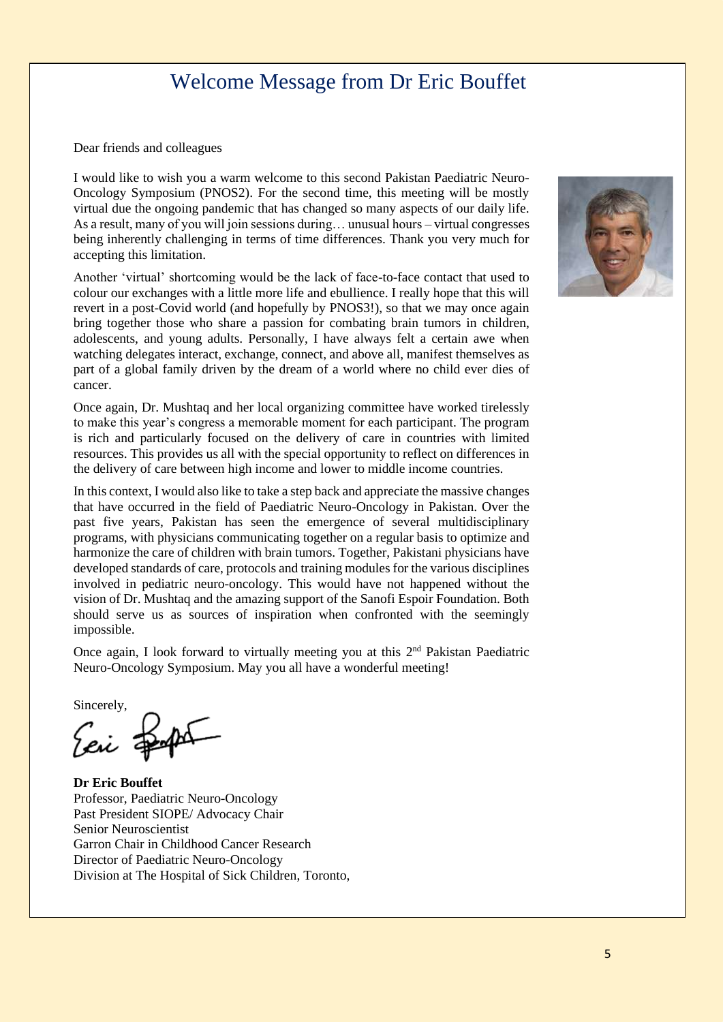#### Welcome Message from Dr Eric Bouffet

Dear friends and colleagues

I would like to wish you a warm welcome to this second Pakistan Paediatric Neuro-Oncology Symposium (PNOS2). For the second time, this meeting will be mostly virtual due the ongoing pandemic that has changed so many aspects of our daily life. As a result, many of you will join sessions during… unusual hours – virtual congresses being inherently challenging in terms of time differences. Thank you very much for accepting this limitation.

Another 'virtual' shortcoming would be the lack of face-to-face contact that used to colour our exchanges with a little more life and ebullience. I really hope that this will revert in a post-Covid world (and hopefully by PNOS3!), so that we may once again bring together those who share a passion for combating brain tumors in children, adolescents, and young adults. Personally, I have always felt a certain awe when watching delegates interact, exchange, connect, and above all, manifest themselves as part of a global family driven by the dream of a world where no child ever dies of cancer.

Once again, Dr. Mushtaq and her local organizing committee have worked tirelessly to make this year's congress a memorable moment for each participant. The program is rich and particularly focused on the delivery of care in countries with limited resources. This provides us all with the special opportunity to reflect on differences in the delivery of care between high income and lower to middle income countries.

In this context, I would also like to take a step back and appreciate the massive changes that have occurred in the field of Paediatric Neuro-Oncology in Pakistan. Over the past five years, Pakistan has seen the emergence of several multidisciplinary programs, with physicians communicating together on a regular basis to optimize and harmonize the care of children with brain tumors. Together, Pakistani physicians have developed standards of care, protocols and training modules for the various disciplines involved in pediatric neuro-oncology. This would have not happened without the vision of Dr. Mushtaq and the amazing support of the Sanofi Espoir Foundation. Both should serve us as sources of inspiration when confronted with the seemingly impossible.

Once again, I look forward to virtually meeting you at this 2<sup>nd</sup> Pakistan Paediatric Neuro-Oncology Symposium. May you all have a wonderful meeting!

Sincerely,

Ear Fapo

**Dr Eric Bouffet** Professor, Paediatric Neuro-Oncology Past President SIOPE/ Advocacy Chair Senior Neuroscientist Garron Chair in Childhood Cancer Research Director of Paediatric Neuro-Oncology Division at The Hospital of Sick Children, Toronto,

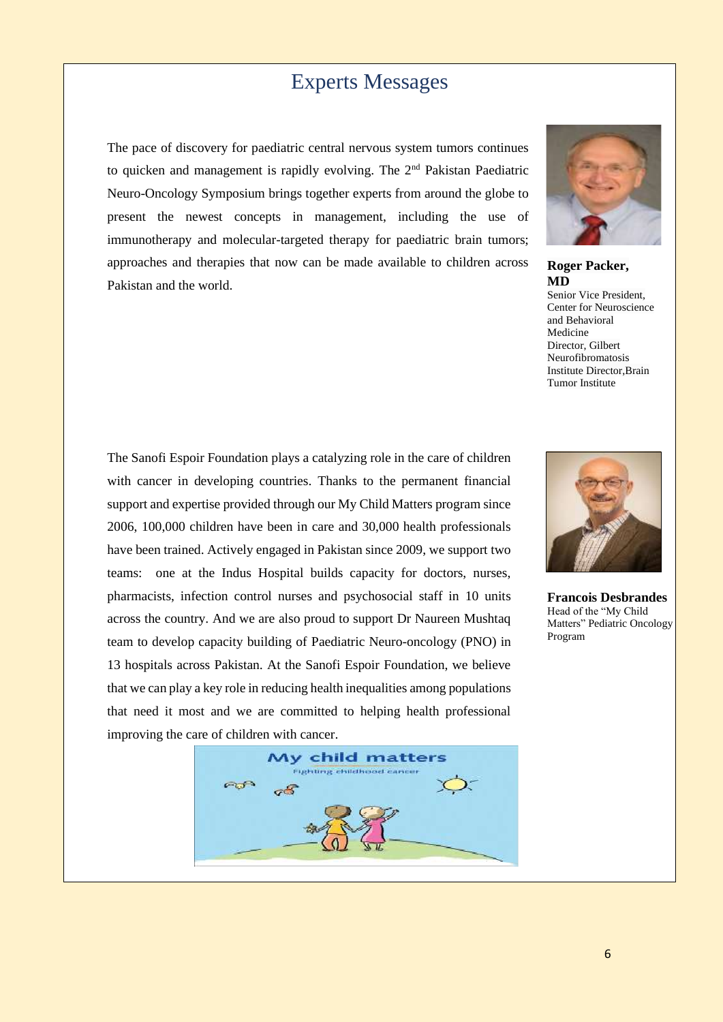#### Experts Messages

The pace of discovery for paediatric central nervous system tumors continues to quicken and management is rapidly evolving. The  $2<sup>nd</sup>$  Pakistan Paediatric Neuro-Oncology Symposium brings together experts from around the globe to present the newest concepts in management, including the use of immunotherapy and molecular-targeted therapy for paediatric brain tumors; approaches and therapies that now can be made available to children across Pakistan and the world.



**Roger Packer, MD**

Senior Vice President, Center for Neuroscience and Behavioral Medicine Director, Gilbert Neurofibromatosis Institute Director,Brain Tumor Institute

The Sanofi Espoir Foundation plays a catalyzing role in the care of children with cancer in developing countries. Thanks to the permanent financial support and expertise provided through our My Child Matters program since 2006, 100,000 children have been in care and 30,000 health professionals have been trained. Actively engaged in Pakistan since 2009, we support two teams: one at the Indus Hospital builds capacity for doctors, nurses, pharmacists, infection control nurses and psychosocial staff in 10 units across the country. And we are also proud to support Dr Naureen Mushtaq team to develop capacity building of Paediatric Neuro-oncology (PNO) in 13 hospitals across Pakistan. At the Sanofi Espoir Foundation, we believe that we can play a key role in reducing health inequalities among populations that need it most and we are committed to helping health professional improving the care of children with cancer.





**Francois Desbrandes** Head of the "My Child Matters" Pediatric Oncology Program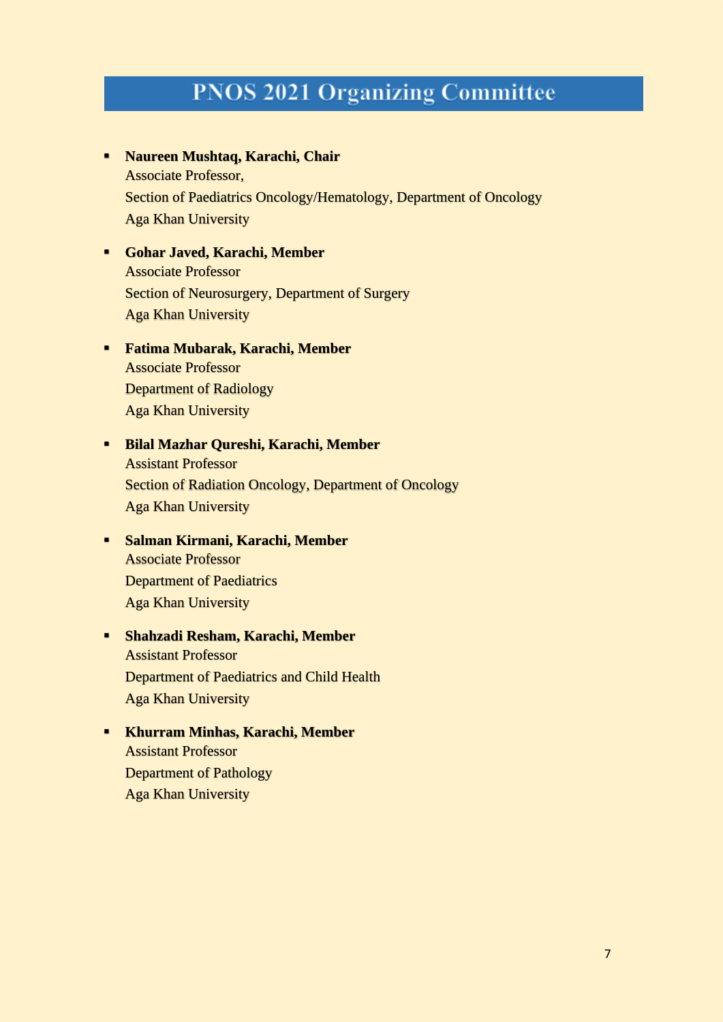## **PNOS 2021 Organizing Committee**

- **Naureen Mushtaq, Karachi, Chair** Associate Professor, Section of Paediatrics Oncology/Hematology, Department of Oncology Aga Khan University
- **Gohar Javed, Karachi, Member** Associate Professor Section of Neurosurgery, Department of Surgery Aga Khan University
- **Fatima Mubarak, Karachi, Member**  Associate Professor Department of Radiology Aga Khan University
- **Bilal Mazhar Qureshi, Karachi, Member** Assistant Professor Section of Radiation Oncology, Department of Oncology Aga Khan University
- **Salman Kirmani, Karachi, Member** Associate Professor Department of Paediatrics Aga Khan University
- **Shahzadi Resham, Karachi, Member** Assistant Professor Department of Paediatrics and Child Health Aga Khan University
- **Khurram Minhas, Karachi, Member** Assistant Professor Department of Pathology Aga Khan University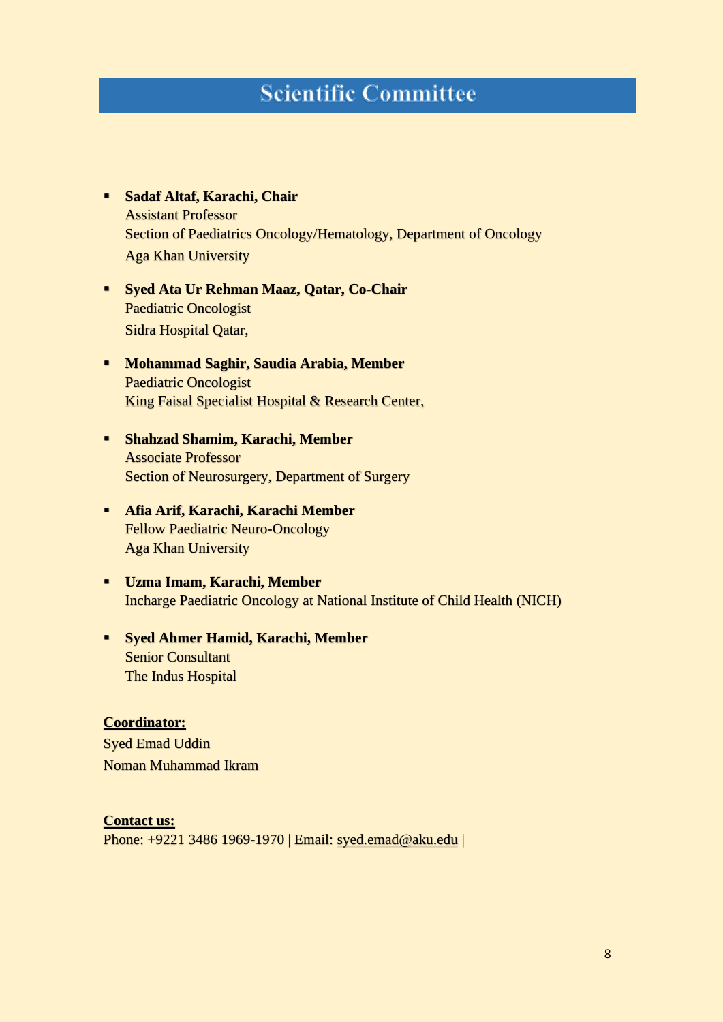## **Scientific Committee**

- **Sadaf Altaf, Karachi, Chair** Assistant Professor Section of Paediatrics Oncology/Hematology, Department of Oncology Aga Khan University
- **Syed Ata Ur Rehman Maaz, Qatar, Co-Chair** Paediatric Oncologist Sidra Hospital Qatar,
- **Mohammad Saghir, Saudia Arabia, Member** Paediatric Oncologist King Faisal Specialist Hospital & Research Center,
- **Shahzad Shamim, Karachi, Member**  Associate Professor Section of Neurosurgery, Department of Surgery
- **Afia Arif, Karachi, Karachi Member** Fellow Paediatric Neuro-Oncology Aga Khan University
- **Uzma Imam, Karachi, Member** Incharge Paediatric Oncology at National Institute of Child Health (NICH)
- **Syed Ahmer Hamid, Karachi, Member** Senior Consultant The Indus Hospital

#### **Coordinator:**

Syed Emad Uddin Noman Muhammad Ikram

#### **Contact us:** Phone: +9221 3486 1969-1970 | Email: [syed.emad@aku.edu](mailto:syed.emad@aku.edu) |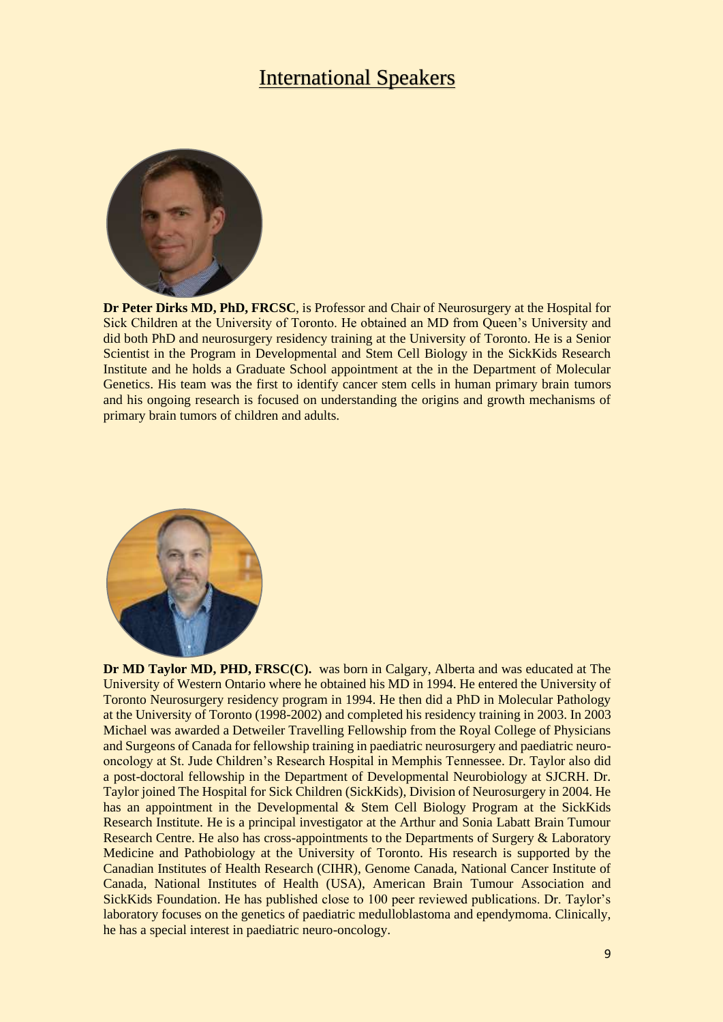#### International Speakers



**Dr Peter Dirks MD, PhD, FRCSC**, is Professor and Chair of Neurosurgery at the Hospital for Sick Children at the University of Toronto. He obtained an MD from Queen's University and did both PhD and neurosurgery residency training at the University of Toronto. He is a Senior Scientist in the Program in Developmental and Stem Cell Biology in the SickKids Research Institute and he holds a Graduate School appointment at the in the Department of Molecular Genetics. His team was the first to identify cancer stem cells in human primary brain tumors and his ongoing research is focused on understanding the origins and growth mechanisms of primary brain tumors of children and adults.



**Dr MD Taylor MD, PHD, FRSC(C).** was born in Calgary, Alberta and was educated at The University of Western Ontario where he obtained his MD in 1994. He entered the University of Toronto Neurosurgery residency program in 1994. He then did a PhD in Molecular Pathology at the University of Toronto (1998-2002) and completed his residency training in 2003. In 2003 Michael was awarded a Detweiler Travelling Fellowship from the Royal College of Physicians and Surgeons of Canada for fellowship training in paediatric neurosurgery and paediatric neurooncology at St. Jude Children's Research Hospital in Memphis Tennessee. Dr. Taylor also did a post-doctoral fellowship in the Department of Developmental Neurobiology at SJCRH. Dr. Taylor joined The Hospital for Sick Children (SickKids), Division of Neurosurgery in 2004. He has an appointment in the Developmental & Stem Cell Biology Program at the SickKids Research Institute. He is a principal investigator at the Arthur and Sonia Labatt Brain Tumour Research Centre. He also has cross-appointments to the Departments of Surgery & Laboratory Medicine and Pathobiology at the University of Toronto. His research is supported by the Canadian Institutes of Health Research (CIHR), Genome Canada, National Cancer Institute of Canada, National Institutes of Health (USA), American Brain Tumour Association and SickKids Foundation. He has published close to 100 peer reviewed publications. Dr. Taylor's laboratory focuses on the genetics of paediatric medulloblastoma and ependymoma. Clinically, he has a special interest in paediatric neuro-oncology.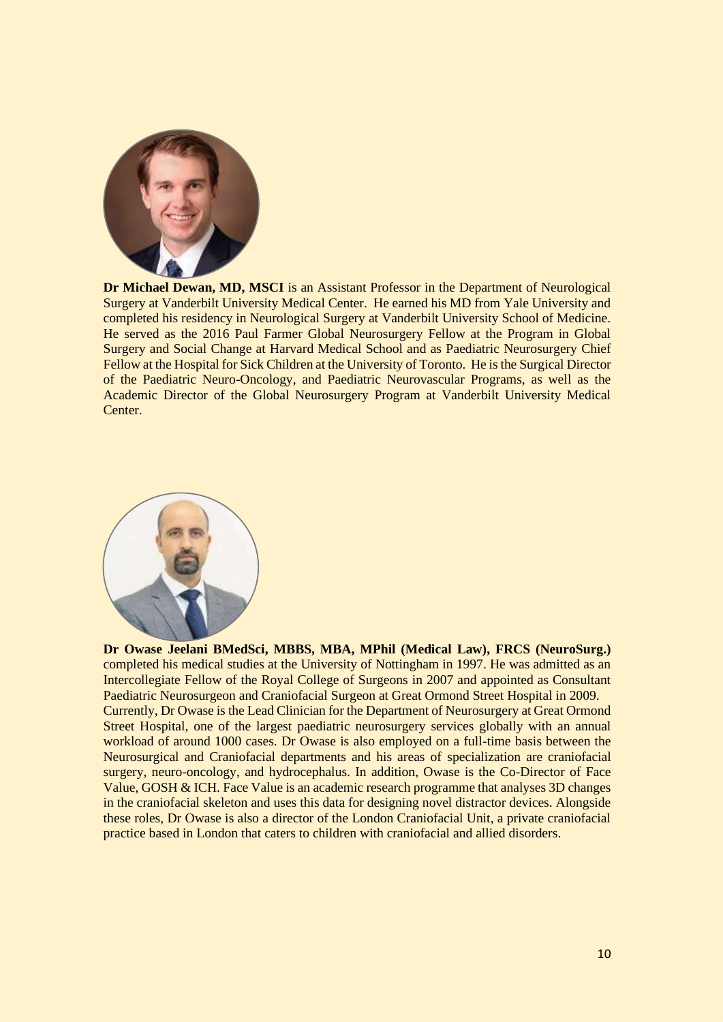

**Dr Michael Dewan, MD, MSCI** is an Assistant Professor in the Department of Neurological Surgery at Vanderbilt University Medical Center. He earned his MD from Yale University and completed his residency in Neurological Surgery at Vanderbilt University School of Medicine. He served as the 2016 Paul Farmer Global Neurosurgery Fellow at the Program in Global Surgery and Social Change at Harvard Medical School and as Paediatric Neurosurgery Chief Fellow at the Hospital for Sick Children at the University of Toronto. He is the Surgical Director of the Paediatric Neuro-Oncology, and Paediatric Neurovascular Programs, as well as the Academic Director of the Global Neurosurgery Program at Vanderbilt University Medical Center.



**Dr Owase Jeelani BMedSci, MBBS, MBA, MPhil (Medical Law), FRCS (NeuroSurg.)** completed his medical studies at the University of Nottingham in 1997. He was admitted as an Intercollegiate Fellow of the Royal College of Surgeons in 2007 and appointed as Consultant Paediatric Neurosurgeon and Craniofacial Surgeon at Great Ormond Street Hospital in 2009. Currently, Dr Owase is the Lead Clinician for the Department of Neurosurgery at Great Ormond Street Hospital, one of the largest paediatric neurosurgery services globally with an annual workload of around 1000 cases. Dr Owase is also employed on a full-time basis between the Neurosurgical and Craniofacial departments and his areas of specialization are craniofacial surgery, neuro-oncology, and hydrocephalus. In addition, Owase is the Co-Director of Face Value, GOSH & ICH. Face Value is an academic research programme that analyses 3D changes in the craniofacial skeleton and uses this data for designing novel distractor devices. Alongside these roles, Dr Owase is also a director of the London Craniofacial Unit, a private craniofacial practice based in London that caters to children with craniofacial and allied disorders.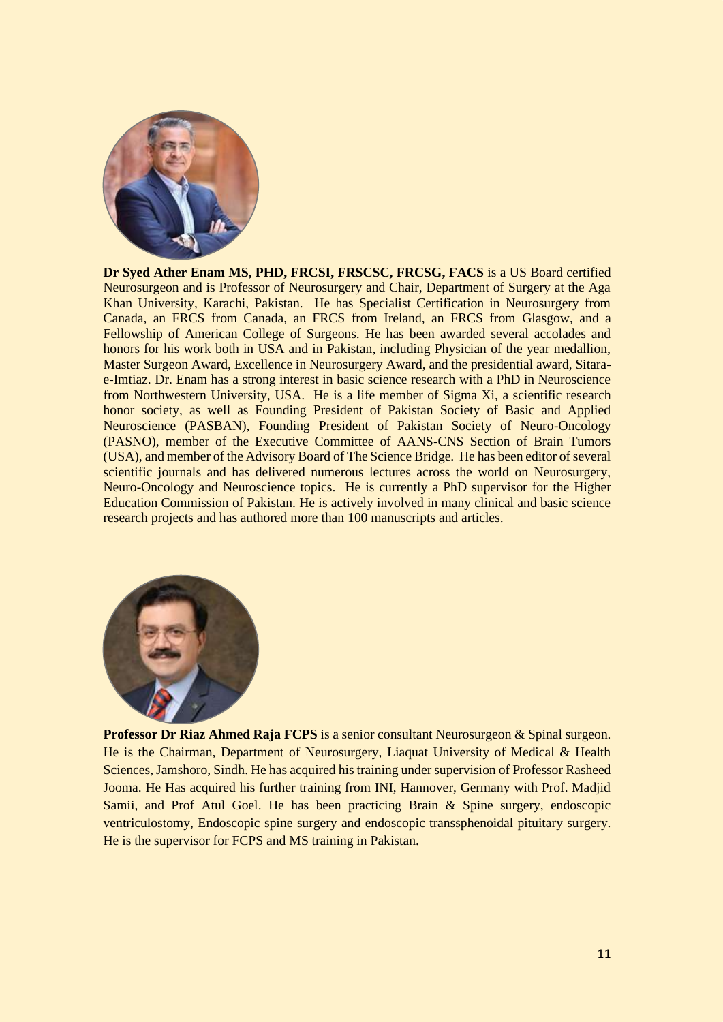

**Dr Syed Ather Enam MS, PHD, FRCSI, FRSCSC, FRCSG, FACS** is a US Board certified Neurosurgeon and is Professor of Neurosurgery and Chair, Department of Surgery at the Aga Khan University, Karachi, Pakistan. He has Specialist Certification in Neurosurgery from Canada, an FRCS from Canada, an FRCS from Ireland, an FRCS from Glasgow, and a Fellowship of American College of Surgeons. He has been awarded several accolades and honors for his work both in USA and in Pakistan, including Physician of the year medallion, Master Surgeon Award, Excellence in Neurosurgery Award, and the presidential award, Sitarae-Imtiaz. Dr. Enam has a strong interest in basic science research with a PhD in Neuroscience from Northwestern University, USA. He is a life member of Sigma Xi, a scientific research honor society, as well as Founding President of Pakistan Society of Basic and Applied Neuroscience (PASBAN), Founding President of Pakistan Society of Neuro-Oncology (PASNO), member of the Executive Committee of AANS-CNS Section of Brain Tumors (USA), and member of the Advisory Board of The Science Bridge. He has been editor of several scientific journals and has delivered numerous lectures across the world on Neurosurgery, Neuro-Oncology and Neuroscience topics. He is currently a PhD supervisor for the Higher Education Commission of Pakistan. He is actively involved in many clinical and basic science research projects and has authored more than 100 manuscripts and articles.



**Professor Dr Riaz Ahmed Raja FCPS** is a senior consultant Neurosurgeon & Spinal surgeon. He is the Chairman, Department of Neurosurgery, Liaquat University of Medical & Health Sciences, Jamshoro, Sindh. He has acquired his training under supervision of Professor Rasheed Jooma. He Has acquired his further training from INI, Hannover, Germany with Prof. Madjid Samii, and Prof Atul Goel. He has been practicing Brain & Spine surgery, endoscopic ventriculostomy, Endoscopic spine surgery and endoscopic transsphenoidal pituitary surgery. He is the supervisor for FCPS and MS training in Pakistan.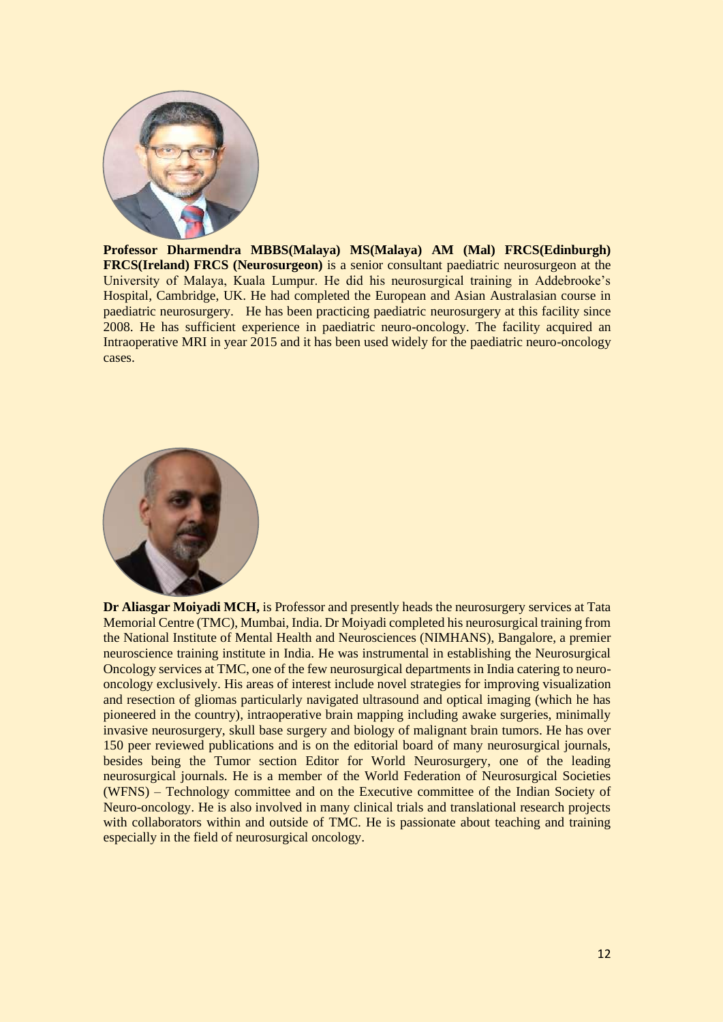

**Professor Dharmendra MBBS(Malaya) MS(Malaya) AM (Mal) FRCS(Edinburgh) FRCS(Ireland) FRCS (Neurosurgeon)** is a senior consultant paediatric neurosurgeon at the University of Malaya, Kuala Lumpur. He did his neurosurgical training in Addebrooke's Hospital, Cambridge, UK. He had completed the European and Asian Australasian course in paediatric neurosurgery. He has been practicing paediatric neurosurgery at this facility since 2008. He has sufficient experience in paediatric neuro-oncology. The facility acquired an Intraoperative MRI in year 2015 and it has been used widely for the paediatric neuro-oncology cases.



**Dr Aliasgar Moiyadi MCH,** is Professor and presently heads the neurosurgery services at Tata Memorial Centre (TMC), Mumbai, India. Dr Moiyadi completed his neurosurgical training from the National Institute of Mental Health and Neurosciences (NIMHANS), Bangalore, a premier neuroscience training institute in India. He was instrumental in establishing the Neurosurgical Oncology services at TMC, one of the few neurosurgical departments in India catering to neurooncology exclusively. His areas of interest include novel strategies for improving visualization and resection of gliomas particularly navigated ultrasound and optical imaging (which he has pioneered in the country), intraoperative brain mapping including awake surgeries, minimally invasive neurosurgery, skull base surgery and biology of malignant brain tumors. He has over 150 peer reviewed publications and is on the editorial board of many neurosurgical journals, besides being the Tumor section Editor for World Neurosurgery, one of the leading neurosurgical journals. He is a member of the World Federation of Neurosurgical Societies (WFNS) – Technology committee and on the Executive committee of the Indian Society of Neuro-oncology. He is also involved in many clinical trials and translational research projects with collaborators within and outside of TMC. He is passionate about teaching and training especially in the field of neurosurgical oncology.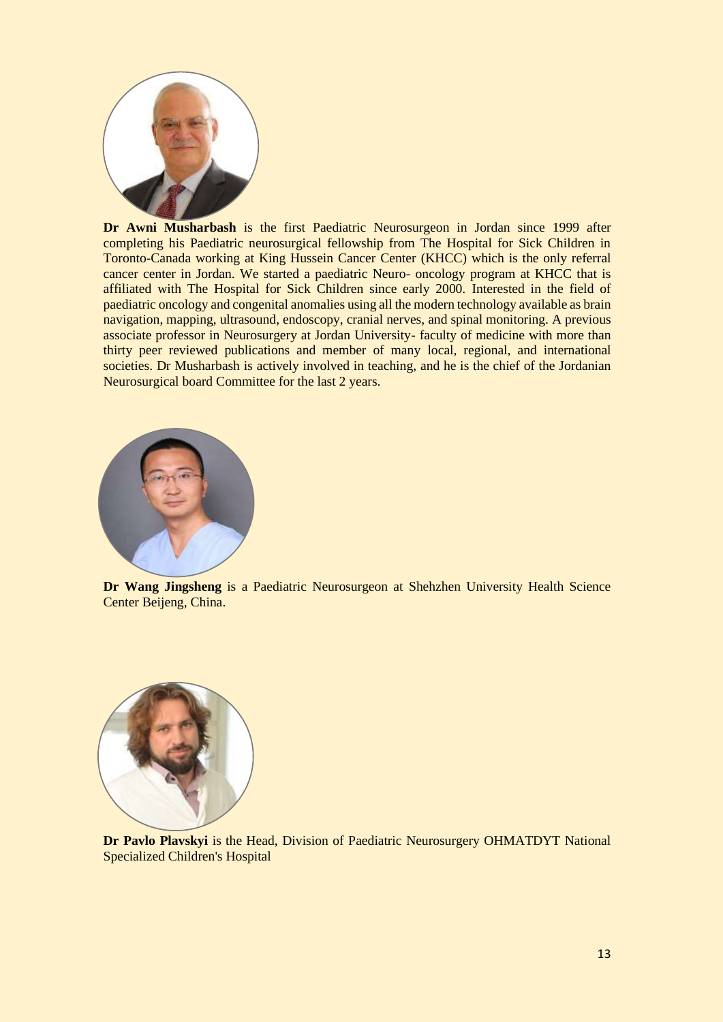

**Dr Awni Musharbash** is the first Paediatric Neurosurgeon in Jordan since 1999 after completing his Paediatric neurosurgical fellowship from The Hospital for Sick Children in Toronto-Canada working at King Hussein Cancer Center (KHCC) which is the only referral cancer center in Jordan. We started a paediatric Neuro- oncology program at KHCC that is affiliated with The Hospital for Sick Children since early 2000. Interested in the field of paediatric oncology and congenital anomalies using all the modern technology available as brain navigation, mapping, ultrasound, endoscopy, cranial nerves, and spinal monitoring. A previous associate professor in Neurosurgery at Jordan University- faculty of medicine with more than thirty peer reviewed publications and member of many local, regional, and international societies. Dr Musharbash is actively involved in teaching, and he is the chief of the Jordanian Neurosurgical board Committee for the last 2 years.



**Dr Wang Jingsheng** is a Paediatric Neurosurgeon at Shehzhen University Health Science Center Beijeng, China.



**Dr Pavlo Plavskyi** is the Head, Division of Paediatric Neurosurgery OHMATDYT National Specialized Children's Hospital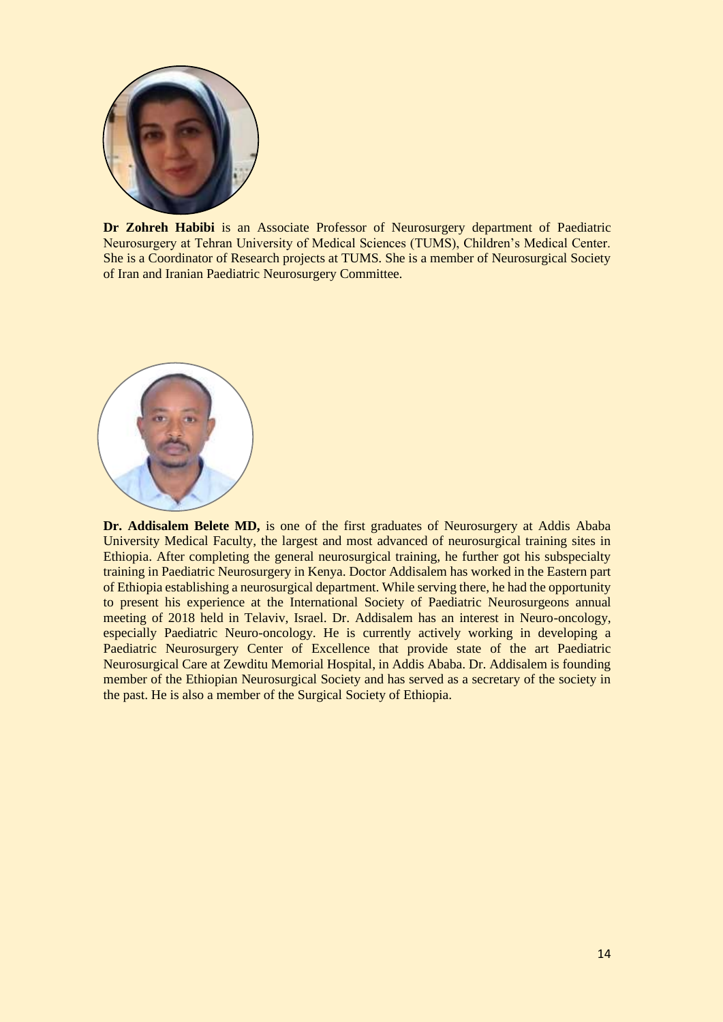

**Dr Zohreh Habibi** is an Associate Professor of Neurosurgery department of Paediatric Neurosurgery at Tehran University of Medical Sciences (TUMS), Children's Medical Center. She is a Coordinator of Research projects at TUMS. She is a member of Neurosurgical Society of Iran and Iranian Paediatric Neurosurgery Committee.



**Dr. Addisalem Belete MD,** is one of the first graduates of Neurosurgery at Addis Ababa University Medical Faculty, the largest and most advanced of neurosurgical training sites in Ethiopia. After completing the general neurosurgical training, he further got his subspecialty training in Paediatric Neurosurgery in Kenya. Doctor Addisalem has worked in the Eastern part of Ethiopia establishing a neurosurgical department. While serving there, he had the opportunity to present his experience at the International Society of Paediatric Neurosurgeons annual meeting of 2018 held in Telaviv, Israel. Dr. Addisalem has an interest in Neuro-oncology, especially Paediatric Neuro-oncology. He is currently actively working in developing a Paediatric Neurosurgery Center of Excellence that provide state of the art Paediatric Neurosurgical Care at Zewditu Memorial Hospital, in Addis Ababa. Dr. Addisalem is founding member of the Ethiopian Neurosurgical Society and has served as a secretary of the society in the past. He is also a member of the Surgical Society of Ethiopia.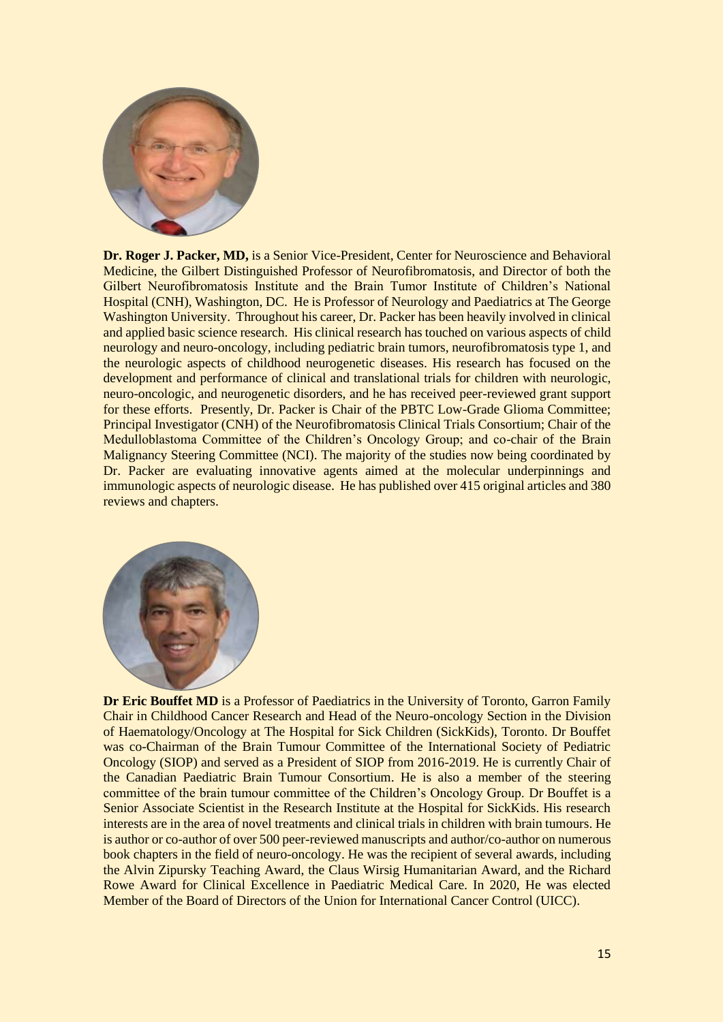

**Dr. Roger J. Packer, MD,** is a Senior Vice-President, Center for Neuroscience and Behavioral Medicine, the Gilbert Distinguished Professor of Neurofibromatosis, and Director of both the Gilbert Neurofibromatosis Institute and the Brain Tumor Institute of Children's National Hospital (CNH), Washington, DC. He is Professor of Neurology and Paediatrics at The George Washington University. Throughout his career, Dr. Packer has been heavily involved in clinical and applied basic science research. His clinical research has touched on various aspects of child neurology and neuro-oncology, including pediatric brain tumors, neurofibromatosis type 1, and the neurologic aspects of childhood neurogenetic diseases. His research has focused on the development and performance of clinical and translational trials for children with neurologic, neuro-oncologic, and neurogenetic disorders, and he has received peer-reviewed grant support for these efforts. Presently, Dr. Packer is Chair of the PBTC Low-Grade Glioma Committee; Principal Investigator (CNH) of the Neurofibromatosis Clinical Trials Consortium; Chair of the Medulloblastoma Committee of the Children's Oncology Group; and co-chair of the Brain Malignancy Steering Committee (NCI). The majority of the studies now being coordinated by Dr. Packer are evaluating innovative agents aimed at the molecular underpinnings and immunologic aspects of neurologic disease. He has published over 415 original articles and 380 reviews and chapters.



**Dr Eric Bouffet MD** is a Professor of Paediatrics in the University of Toronto, Garron Family Chair in Childhood Cancer Research and Head of the Neuro-oncology Section in the Division of Haematology/Oncology at The Hospital for Sick Children (SickKids), Toronto. Dr Bouffet was co-Chairman of the Brain Tumour Committee of the International Society of Pediatric Oncology (SIOP) and served as a President of SIOP from 2016-2019. He is currently Chair of the Canadian Paediatric Brain Tumour Consortium. He is also a member of the steering committee of the brain tumour committee of the Children's Oncology Group. Dr Bouffet is a Senior Associate Scientist in the Research Institute at the Hospital for SickKids. His research interests are in the area of novel treatments and clinical trials in children with brain tumours. He is author or co-author of over 500 peer-reviewed manuscripts and author/co-author on numerous book chapters in the field of neuro-oncology. He was the recipient of several awards, including the Alvin Zipursky Teaching Award, the Claus Wirsig Humanitarian Award, and the Richard Rowe Award for Clinical Excellence in Paediatric Medical Care. In 2020, He was elected Member of the Board of Directors of the Union for International Cancer Control (UICC).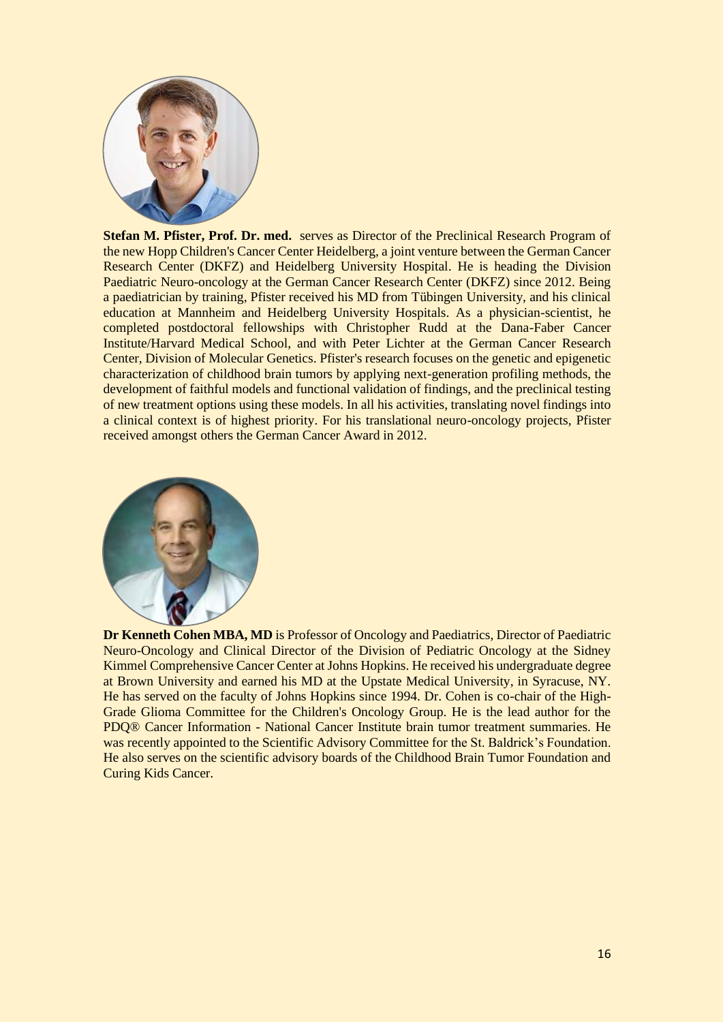

**Stefan M. Pfister, Prof. Dr. med.** serves as Director of the Preclinical Research Program of the new Hopp Children's Cancer Center Heidelberg, a joint venture between the German Cancer Research Center (DKFZ) and Heidelberg University Hospital. He is heading the Division Paediatric Neuro-oncology at the German Cancer Research Center (DKFZ) since 2012. Being a paediatrician by training, Pfister received his MD from Tübingen University, and his clinical education at Mannheim and Heidelberg University Hospitals. As a physician-scientist, he completed postdoctoral fellowships with Christopher Rudd at the Dana-Faber Cancer Institute/Harvard Medical School, and with Peter Lichter at the German Cancer Research Center, Division of Molecular Genetics. Pfister's research focuses on the genetic and epigenetic characterization of childhood brain tumors by applying next-generation profiling methods, the development of faithful models and functional validation of findings, and the preclinical testing of new treatment options using these models. In all his activities, translating novel findings into a clinical context is of highest priority. For his translational neuro-oncology projects, Pfister received amongst others the German Cancer Award in 2012.



**Dr Kenneth Cohen MBA, MD** is Professor of Oncology and Paediatrics, Director of Paediatric Neuro-Oncology and Clinical Director of the Division of Pediatric Oncology at the Sidney Kimmel Comprehensive Cancer Center at Johns Hopkins. He received his undergraduate degree at Brown University and earned his MD at the Upstate Medical University, in Syracuse, NY. He has served on the faculty of Johns Hopkins since 1994. Dr. Cohen is co-chair of the High-Grade Glioma Committee for the Children's Oncology Group. He is the lead author for the PDQ® Cancer Information - National Cancer Institute brain tumor treatment summaries. He was recently appointed to the Scientific Advisory Committee for the St. Baldrick's Foundation. He also serves on the scientific advisory boards of the Childhood Brain Tumor Foundation and Curing Kids Cancer.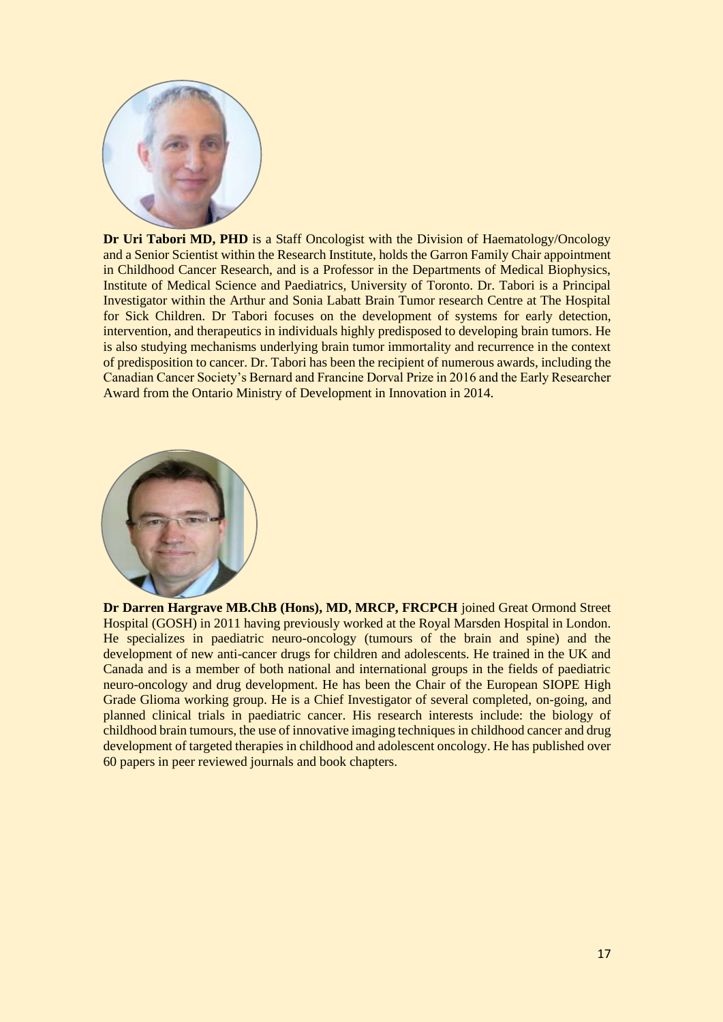

**Dr Uri Tabori MD, PHD** is a Staff Oncologist with the Division of Haematology/Oncology and a Senior Scientist within the Research Institute, holds the Garron Family Chair appointment in Childhood Cancer Research, and is a Professor in the Departments of Medical Biophysics, Institute of Medical Science and Paediatrics, University of Toronto. Dr. Tabori is a Principal Investigator within the Arthur and Sonia Labatt Brain Tumor research Centre at The Hospital for Sick Children. Dr Tabori focuses on the development of systems for early detection, intervention, and therapeutics in individuals highly predisposed to developing brain tumors. He is also studying mechanisms underlying brain tumor immortality and recurrence in the context of predisposition to cancer. Dr. Tabori has been the recipient of numerous awards, including the Canadian Cancer Society's Bernard and Francine Dorval Prize in 2016 and the Early Researcher Award from the Ontario Ministry of Development in Innovation in 2014.



**Dr Darren Hargrave MB.ChB (Hons), MD, MRCP, FRCPCH** joined Great Ormond Street Hospital (GOSH) in 2011 having previously worked at the Royal Marsden Hospital in London. He specializes in paediatric neuro-oncology (tumours of the brain and spine) and the development of new anti-cancer drugs for children and adolescents. He trained in the UK and Canada and is a member of both national and international groups in the fields of paediatric neuro-oncology and drug development. He has been the Chair of the European SIOPE High Grade Glioma working group. He is a Chief Investigator of several completed, on-going, and planned clinical trials in paediatric cancer. His research interests include: the biology of childhood brain tumours, the use of innovative imaging techniques in childhood cancer and drug development of targeted therapies in childhood and adolescent oncology. He has published over 60 papers in peer reviewed journals and book chapters.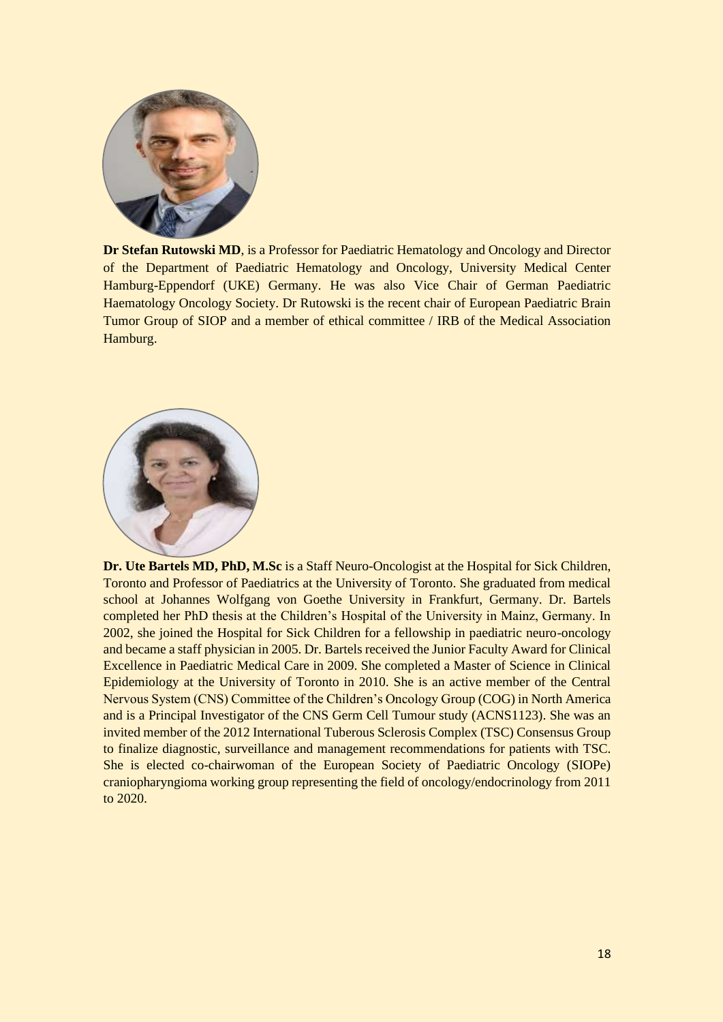

**Dr Stefan Rutowski MD**, is a Professor for Paediatric Hematology and Oncology and Director of the Department of Paediatric Hematology and Oncology, University Medical Center Hamburg-Eppendorf (UKE) Germany. He was also Vice Chair of German Paediatric Haematology Oncology Society. Dr Rutowski is the recent chair of European Paediatric Brain Tumor Group of SIOP and a member of ethical committee / IRB of the Medical Association Hamburg.



**Dr. Ute Bartels MD, PhD, M.Sc** is a Staff Neuro-Oncologist at the Hospital for Sick Children, Toronto and Professor of Paediatrics at the University of Toronto. She graduated from medical school at Johannes Wolfgang von Goethe University in Frankfurt, Germany. Dr. Bartels completed her PhD thesis at the Children's Hospital of the University in Mainz, Germany. In 2002, she joined the Hospital for Sick Children for a fellowship in paediatric neuro-oncology and became a staff physician in 2005. Dr. Bartels received the Junior Faculty Award for Clinical Excellence in Paediatric Medical Care in 2009. She completed a Master of Science in Clinical Epidemiology at the University of Toronto in 2010. She is an active member of the Central Nervous System (CNS) Committee of the Children's Oncology Group (COG) in North America and is a Principal Investigator of the CNS Germ Cell Tumour study (ACNS1123). She was an invited member of the 2012 International Tuberous Sclerosis Complex (TSC) Consensus Group to finalize diagnostic, surveillance and management recommendations for patients with TSC. She is elected co-chairwoman of the European Society of Paediatric Oncology (SIOPe) craniopharyngioma working group representing the field of oncology/endocrinology from 2011 to 2020.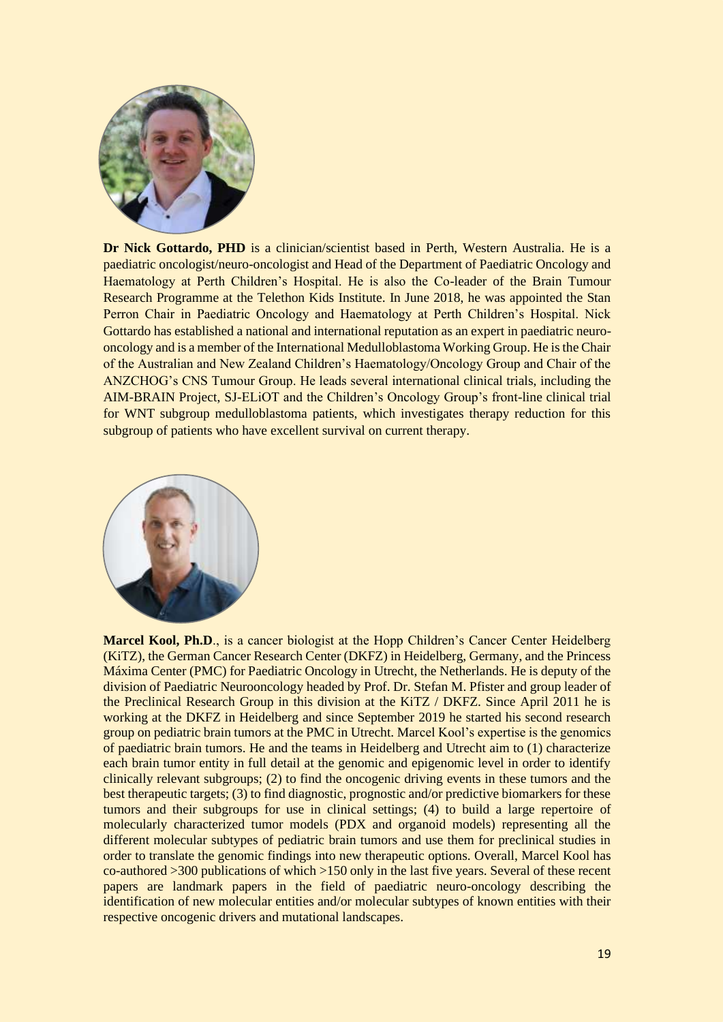

**Dr Nick Gottardo, PHD** is a clinician/scientist based in Perth, Western Australia. He is a paediatric oncologist/neuro-oncologist and Head of the Department of Paediatric Oncology and Haematology at Perth Children's Hospital. He is also the Co-leader of the Brain Tumour Research Programme at the Telethon Kids Institute. In June 2018, he was appointed the Stan Perron Chair in Paediatric Oncology and Haematology at Perth Children's Hospital. Nick Gottardo has established a national and international reputation as an expert in paediatric neurooncology and is a member of the International Medulloblastoma Working Group. He is the Chair of the Australian and New Zealand Children's Haematology/Oncology Group and Chair of the ANZCHOG's CNS Tumour Group. He leads several international clinical trials, including the AIM-BRAIN Project, SJ-ELiOT and the Children's Oncology Group's front-line clinical trial for WNT subgroup medulloblastoma patients, which investigates therapy reduction for this subgroup of patients who have excellent survival on current therapy.



**Marcel Kool, Ph.D.**, is a cancer biologist at the Hopp Children's Cancer Center Heidelberg (KiTZ), the German Cancer Research Center (DKFZ) in Heidelberg, Germany, and the Princess Máxima Center (PMC) for Paediatric Oncology in Utrecht, the Netherlands. He is deputy of the division of Paediatric Neurooncology headed by Prof. Dr. Stefan M. Pfister and group leader of the Preclinical Research Group in this division at the KiTZ / DKFZ. Since April 2011 he is working at the DKFZ in Heidelberg and since September 2019 he started his second research group on pediatric brain tumors at the PMC in Utrecht. Marcel Kool's expertise is the genomics of paediatric brain tumors. He and the teams in Heidelberg and Utrecht aim to (1) characterize each brain tumor entity in full detail at the genomic and epigenomic level in order to identify clinically relevant subgroups; (2) to find the oncogenic driving events in these tumors and the best therapeutic targets; (3) to find diagnostic, prognostic and/or predictive biomarkers for these tumors and their subgroups for use in clinical settings; (4) to build a large repertoire of molecularly characterized tumor models (PDX and organoid models) representing all the different molecular subtypes of pediatric brain tumors and use them for preclinical studies in order to translate the genomic findings into new therapeutic options. Overall, Marcel Kool has co-authored >300 publications of which >150 only in the last five years. Several of these recent papers are landmark papers in the field of paediatric neuro-oncology describing the identification of new molecular entities and/or molecular subtypes of known entities with their respective oncogenic drivers and mutational landscapes.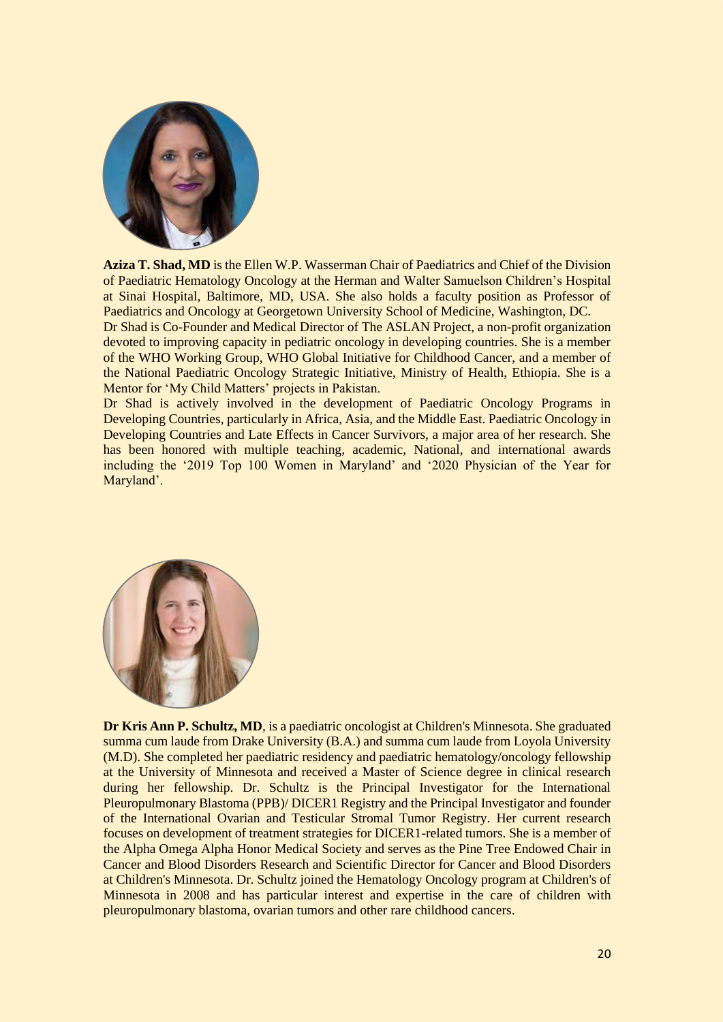

**Aziza T. Shad, MD** is the Ellen W.P. Wasserman Chair of Paediatrics and Chief of the Division of Paediatric Hematology Oncology at the Herman and Walter Samuelson Children's Hospital at Sinai Hospital, Baltimore, MD, USA. She also holds a faculty position as Professor of Paediatrics and Oncology at Georgetown University School of Medicine, Washington, DC.

Dr Shad is Co-Founder and Medical Director of The ASLAN Project, a non-profit organization devoted to improving capacity in pediatric oncology in developing countries. She is a member of the WHO Working Group, WHO Global Initiative for Childhood Cancer, and a member of the National Paediatric Oncology Strategic Initiative, Ministry of Health, Ethiopia. She is a Mentor for 'My Child Matters' projects in Pakistan.

Dr Shad is actively involved in the development of Paediatric Oncology Programs in Developing Countries, particularly in Africa, Asia, and the Middle East. Paediatric Oncology in Developing Countries and Late Effects in Cancer Survivors, a major area of her research. She has been honored with multiple teaching, academic, National, and international awards including the '2019 Top 100 Women in Maryland' and '2020 Physician of the Year for Maryland'.



**Dr Kris Ann P. Schultz, MD**, is a paediatric oncologist at Children's Minnesota. She graduated summa cum laude from Drake University (B.A.) and summa cum laude from Loyola University (M.D). She completed her paediatric residency and paediatric hematology/oncology fellowship at the University of Minnesota and received a Master of Science degree in clinical research during her fellowship. Dr. Schultz is the Principal Investigator for the International Pleuropulmonary Blastoma (PPB)/ DICER1 Registry and the Principal Investigator and founder of the International Ovarian and Testicular Stromal Tumor Registry. Her current research focuses on development of treatment strategies for DICER1-related tumors. She is a member of the Alpha Omega Alpha Honor Medical Society and serves as the Pine Tree Endowed Chair in Cancer and Blood Disorders Research and Scientific Director for Cancer and Blood Disorders at Children's Minnesota. Dr. Schultz joined the Hematology Oncology program at Children's of Minnesota in 2008 and has particular interest and expertise in the care of children with pleuropulmonary blastoma, ovarian tumors and other rare childhood cancers.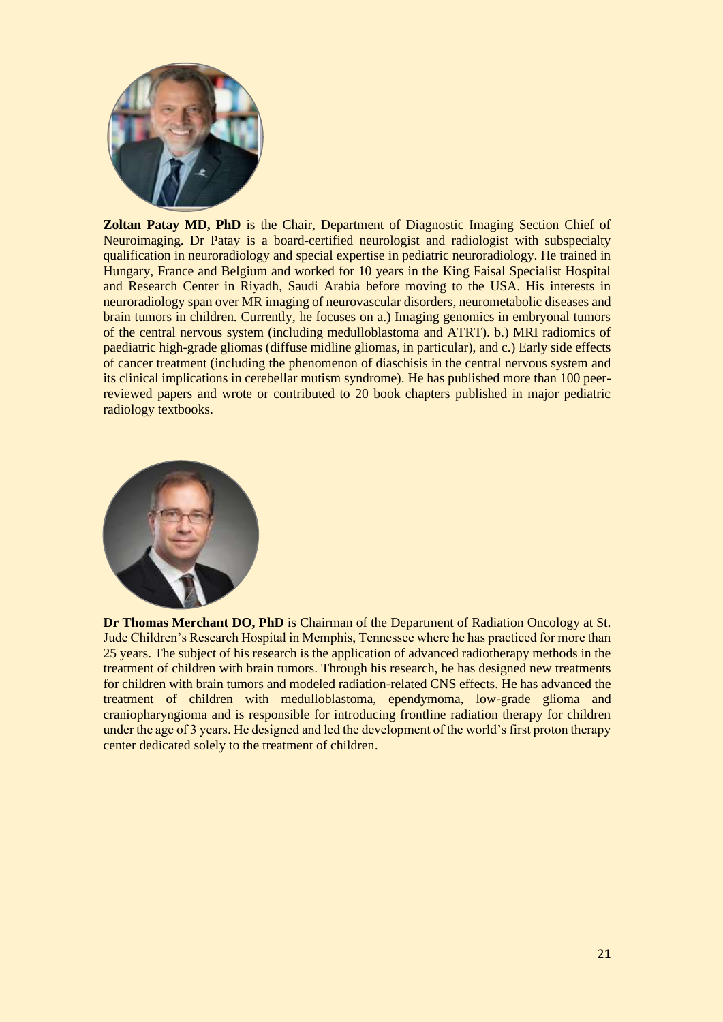

**Zoltan Patay MD, PhD** is the Chair, Department of Diagnostic Imaging Section Chief of Neuroimaging. Dr Patay is a board-certified neurologist and radiologist with subspecialty qualification in neuroradiology and special expertise in pediatric neuroradiology. He trained in Hungary, France and Belgium and worked for 10 years in the King Faisal Specialist Hospital and Research Center in Riyadh, Saudi Arabia before moving to the USA. His interests in neuroradiology span over MR imaging of neurovascular disorders, neurometabolic diseases and brain tumors in children. Currently, he focuses on a.) Imaging genomics in embryonal tumors of the central nervous system (including medulloblastoma and ATRT). b.) MRI radiomics of paediatric high-grade gliomas (diffuse midline gliomas, in particular), and c.) Early side effects of cancer treatment (including the phenomenon of diaschisis in the central nervous system and its clinical implications in cerebellar mutism syndrome). He has published more than 100 peerreviewed papers and wrote or contributed to 20 book chapters published in major pediatric radiology textbooks.



**Dr Thomas Merchant DO, PhD** is Chairman of the Department of Radiation Oncology at St. Jude Children's Research Hospital in Memphis, Tennessee where he has practiced for more than 25 years. The subject of his research is the application of advanced radiotherapy methods in the treatment of children with brain tumors. Through his research, he has designed new treatments for children with brain tumors and modeled radiation-related CNS effects. He has advanced the treatment of children with medulloblastoma, ependymoma, low-grade glioma and craniopharyngioma and is responsible for introducing frontline radiation therapy for children under the age of 3 years. He designed and led the development of the world's first proton therapy center dedicated solely to the treatment of children.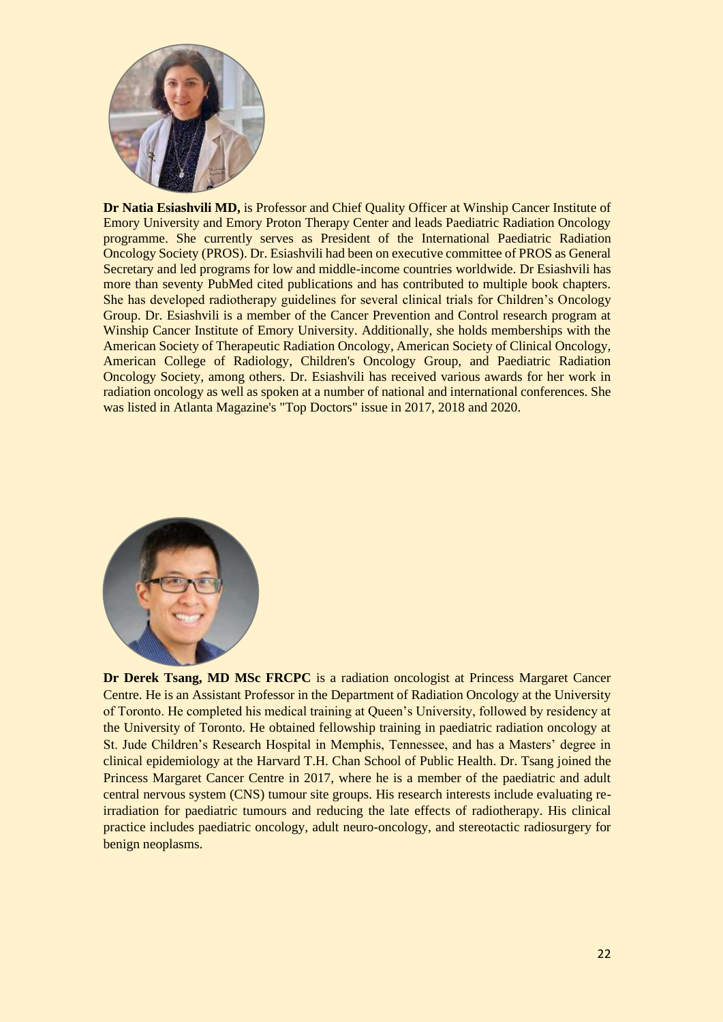

**Dr Natia Esiashvili MD,** is Professor and Chief Quality Officer at Winship Cancer Institute of Emory University and Emory Proton Therapy Center and leads Paediatric Radiation Oncology programme. She currently serves as President of the International Paediatric Radiation Oncology Society (PROS). Dr. Esiashvili had been on executive committee of PROS as General Secretary and led programs for low and middle-income countries worldwide. Dr Esiashvili has more than seventy PubMed cited publications and has contributed to multiple book chapters. She has developed radiotherapy guidelines for several clinical trials for Children's Oncology Group. Dr. Esiashvili is a member of the Cancer Prevention and Control research program at Winship Cancer Institute of Emory University. Additionally, she holds memberships with the American Society of Therapeutic Radiation Oncology, American Society of Clinical Oncology, American College of Radiology, Children's Oncology Group, and Paediatric Radiation Oncology Society, among others. Dr. Esiashvili has received various awards for her work in radiation oncology as well as spoken at a number of national and international conferences. She was listed in Atlanta Magazine's "Top Doctors" issue in 2017, 2018 and 2020.



**Dr Derek Tsang, MD MSc FRCPC** is a radiation oncologist at Princess Margaret Cancer Centre. He is an Assistant Professor in the Department of Radiation Oncology at the University of Toronto. He completed his medical training at Queen's University, followed by residency at the University of Toronto. He obtained fellowship training in paediatric radiation oncology at St. Jude Children's Research Hospital in Memphis, Tennessee, and has a Masters' degree in clinical epidemiology at the Harvard T.H. Chan School of Public Health. Dr. Tsang joined the Princess Margaret Cancer Centre in 2017, where he is a member of the paediatric and adult central nervous system (CNS) tumour site groups. His research interests include evaluating reirradiation for paediatric tumours and reducing the late effects of radiotherapy. His clinical practice includes paediatric oncology, adult neuro-oncology, and stereotactic radiosurgery for benign neoplasms.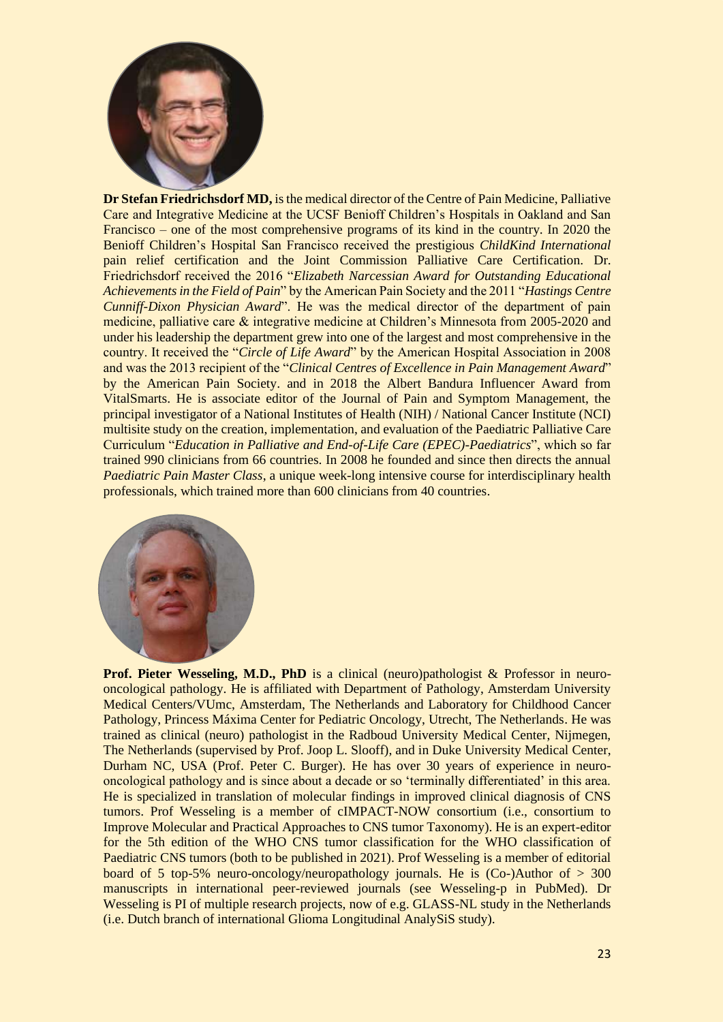

**Dr Stefan Friedrichsdorf MD,** isthe medical director of the Centre of Pain Medicine, Palliative Care and Integrative Medicine at the UCSF Benioff Children's Hospitals in Oakland and San Francisco – one of the most comprehensive programs of its kind in the country. In 2020 the Benioff Children's Hospital San Francisco received the prestigious *ChildKind International*  pain relief certification and the Joint Commission Palliative Care Certification. Dr. Friedrichsdorf received the 2016 "*Elizabeth Narcessian Award for Outstanding Educational Achievements in the Field of Pain*" by the American Pain Society and the 2011 "*Hastings Centre Cunniff-Dixon Physician Award*". He was the medical director of the department of pain medicine, palliative care & integrative medicine at Children's Minnesota from 2005-2020 and under his leadership the department grew into one of the largest and most comprehensive in the country. It received the "*Circle of Life Award*" by the American Hospital Association in 2008 and was the 2013 recipient of the "*Clinical Centres of Excellence in Pain Management Award*" by the American Pain Society. and in 2018 the Albert Bandura Influencer Award from VitalSmarts. He is associate editor of the Journal of Pain and Symptom Management, the principal investigator of a National Institutes of Health (NIH) / National Cancer Institute (NCI) multisite study on the creation, implementation, and evaluation of the Paediatric Palliative Care Curriculum "*Education in Palliative and End-of-Life Care (EPEC)-Paediatrics*", which so far trained 990 clinicians from 66 countries. In 2008 he founded and since then directs the annual *Paediatric Pain Master Class*, a unique week-long intensive course for interdisciplinary health professionals, which trained more than 600 clinicians from 40 countries.



**Prof. Pieter Wesseling, M.D., PhD** is a clinical (neuro)pathologist & Professor in neurooncological pathology. He is affiliated with Department of Pathology, Amsterdam University Medical Centers/VUmc, Amsterdam, The Netherlands and Laboratory for Childhood Cancer Pathology, Princess Máxima Center for Pediatric Oncology, Utrecht, The Netherlands. He was trained as clinical (neuro) pathologist in the Radboud University Medical Center, Nijmegen, The Netherlands (supervised by Prof. Joop L. Slooff), and in Duke University Medical Center, Durham NC, USA (Prof. Peter C. Burger). He has over 30 years of experience in neurooncological pathology and is since about a decade or so 'terminally differentiated' in this area. He is specialized in translation of molecular findings in improved clinical diagnosis of CNS tumors. Prof Wesseling is a member of cIMPACT-NOW consortium (i.e., consortium to Improve Molecular and Practical Approaches to CNS tumor Taxonomy). He is an expert-editor for the 5th edition of the WHO CNS tumor classification for the WHO classification of Paediatric CNS tumors (both to be published in 2021). Prof Wesseling is a member of editorial board of 5 top-5% neuro-oncology/neuropathology journals. He is  $(Co-)$ Author of  $> 300$ manuscripts in international peer-reviewed journals (see Wesseling-p in PubMed). Dr Wesseling is PI of multiple research projects, now of e.g. GLASS-NL study in the Netherlands (i.e. Dutch branch of international Glioma Longitudinal AnalySiS study).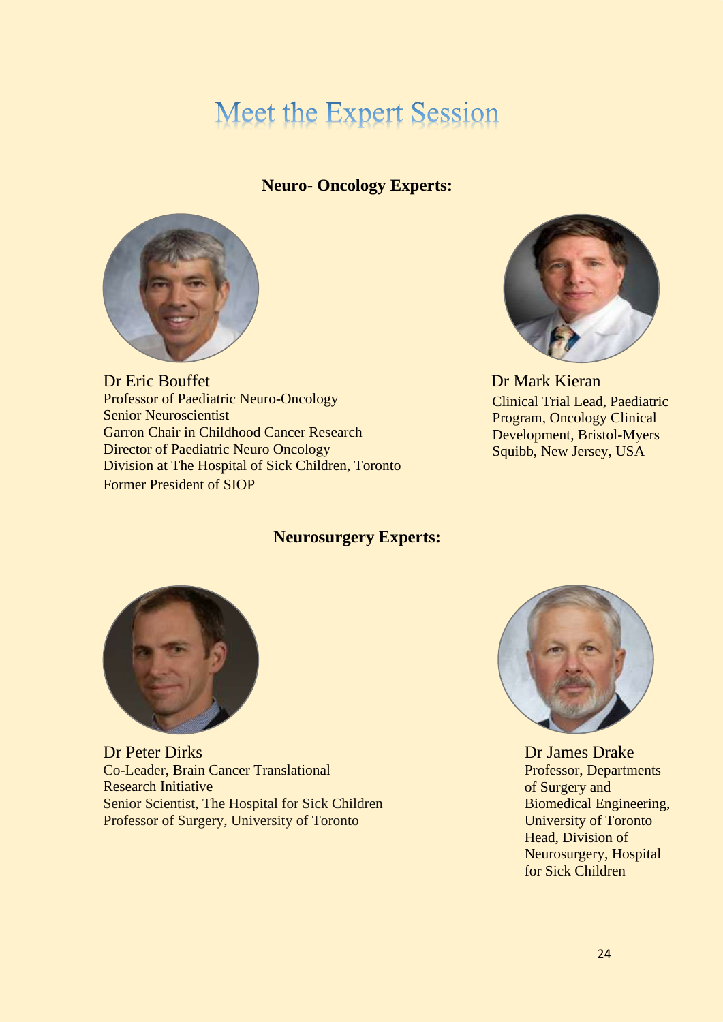## **Meet the Expert Session**

#### **Neuro- Oncology Experts:**



**Dr Eric Bouffet Dr Mark Kieran** Professor of Paediatric Neuro-Oncology Senior Neuroscientist Garron Chair in Childhood Cancer Research Director of Paediatric Neuro Oncology Division at The Hospital of Sick Children, Toronto Former President of SIOP



Clinical Trial Lead, Paediatric Program, Oncology Clinical Development, Bristol-Myers Squibb, New Jersey, USA

#### **Neurosurgery Experts:**



Dr Peter Dirks Co-Leader, Brain Cancer Translational Research Initiative Senior Scientist, The Hospital for Sick Children Professor of Surgery, University of Toronto



Dr James Drake Professor, Departments of Surgery and Biomedical Engineering, University of Toronto Head, Division of Neurosurgery, Hospital for Sick Children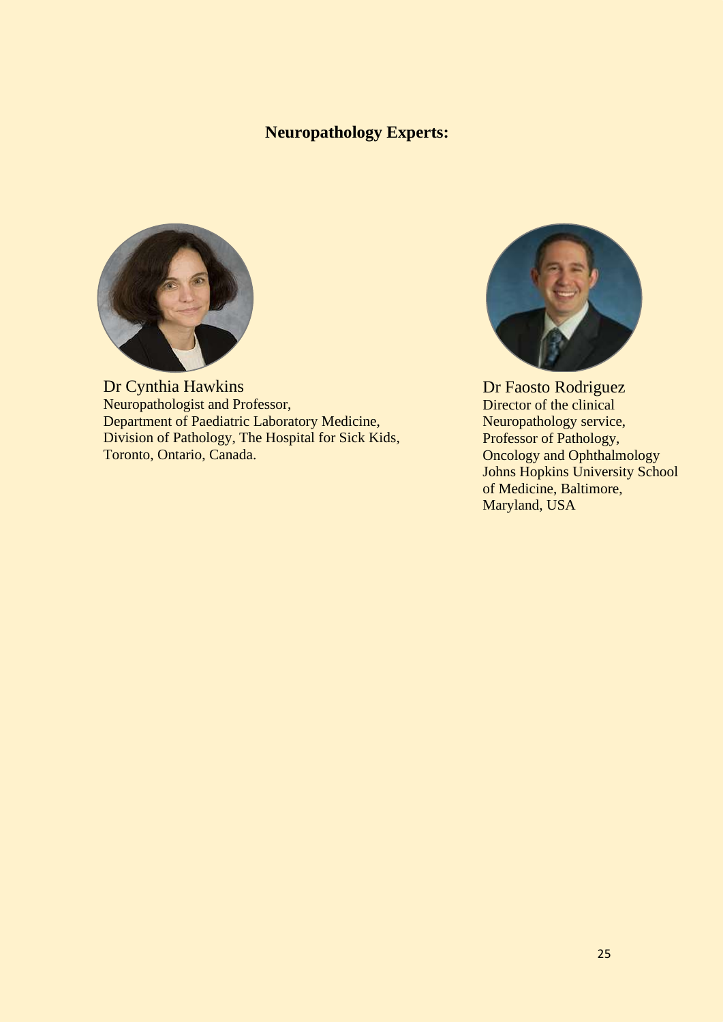#### **Neuropathology Experts:**



Dr Cynthia Hawkins Neuropathologist and Professor, Department of Paediatric Laboratory Medicine, Division of Pathology, The Hospital for Sick Kids, Toronto, Ontario, Canada.



Dr Faosto Rodriguez Director of the clinical Neuropathology service, Professor of Pathology, Oncology and Ophthalmology Johns Hopkins University School of Medicine, Baltimore, Maryland, USA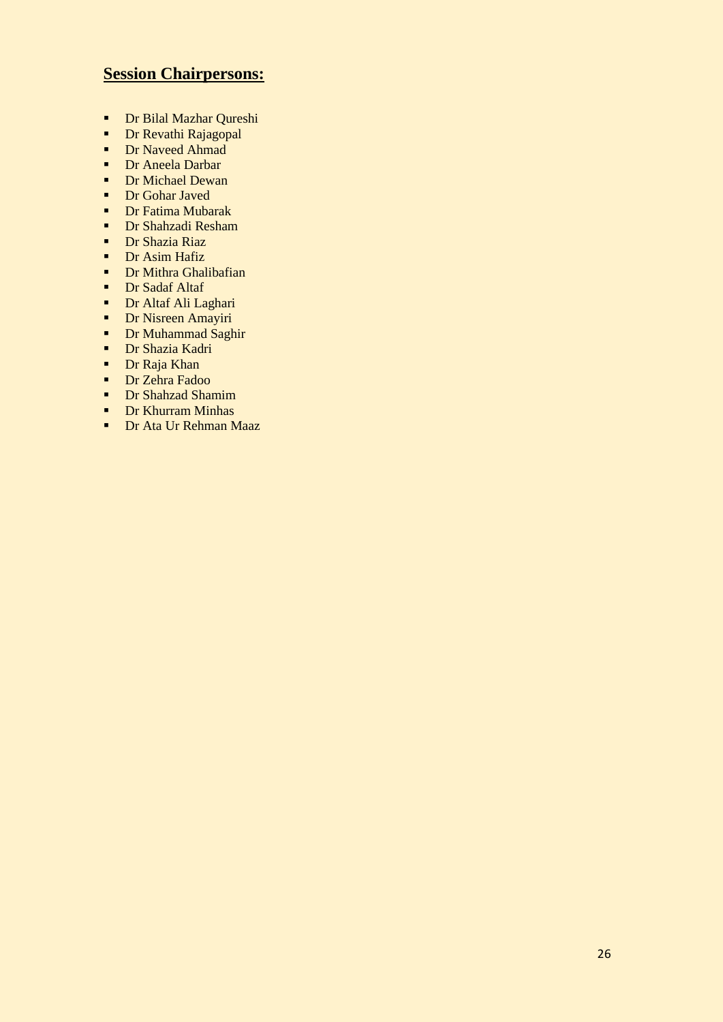#### **Session Chairpersons:**

- Dr Bilal Mazhar Qureshi
- **•** Dr Revathi Rajagopal
- **•** Dr Naveed Ahmad
- Dr Aneela Darbar
- Dr Michael Dewan
- Dr Gohar Javed
- Dr Fatima Mubarak
- Dr Shahzadi Resham
- Dr Shazia Riaz
- **•** Dr Asim Hafiz
- **•** Dr Mithra Ghalibafian
- Dr Sadaf Altaf
- Dr Altaf Ali Laghari
- **•** Dr Nisreen Amayiri
- Dr Muhammad Saghir
- **•** Dr Shazia Kadri
- Dr Raja Khan
- **•** Dr Zehra Fadoo
- Dr Shahzad Shamim
- **•** Dr Khurram Minhas
- Dr Ata Ur Rehman Maaz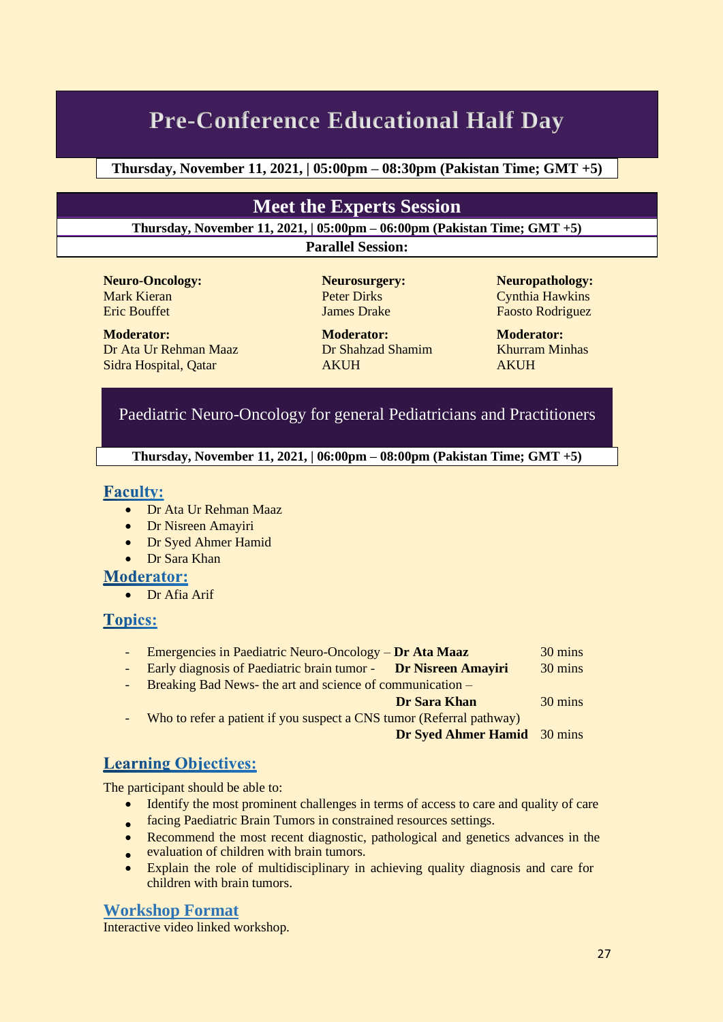## **Pre-Conference Educational Half Day**

#### **Thursday, November 11, 2021, | 05:00pm – 08:30pm (Pakistan Time; GMT +5)**

#### **Meet the Experts Session**

**Thursday, November 11, 2021, | 05:00pm – 06:00pm (Pakistan Time; GMT +5)**

**Parallel Session:**

**Neuro-Oncology: Neurosurgery: Neuropathology:** Mark Kieran Peter Dirks Cynthia Hawkins

**Moderator: Moderator: Moderator:** Dr Ata Ur Rehman Maaz Dr Shahzad Shamim Khurram Minhas Sidra Hospital, Qatar AKUH AKUH

Eric Bouffet **International Community** James Drake Faosto Rodriguez

#### Paediatric Neuro-Oncology for general Pediatricians and Practitioners

**Thursday, November 11, 2021, | 06:00pm – 08:00pm (Pakistan Time; GMT +5)**

#### **Faculty:**

- Dr Ata Ur Rehman Maaz
- Dr Nisreen Amayiri
- Dr Syed Ahmer Hamid
- Dr Sara Khan

#### **Moderator:**

• Dr Afia Arif

#### **Topics:**

- Emergencies in Paediatric Neuro-Oncology **Dr Ata Maaz** 30 mins
- Early diagnosis of Paediatric brain tumor **Dr Nisreen Amayiri** 30 mins
- Breaking Bad News- the art and science of communication –

#### **Dr Sara Khan** 30 mins

Who to refer a patient if you suspect a CNS tumor (Referral pathway)

 **Dr Syed Ahmer Hamid** 30 mins

#### **Learning Objectives:**

The participant should be able to:

- Identify the most prominent challenges in terms of access to care and quality of care
- facing Paediatric Brain Tumors in constrained resources settings. •
- Recommend the most recent diagnostic, pathological and genetics advances in the
- **evaluation of children with brain tumors.**
- Explain the role of multidisciplinary in achieving quality diagnosis and care for children with brain tumors.

#### **Workshop Format**

Interactive video linked workshop.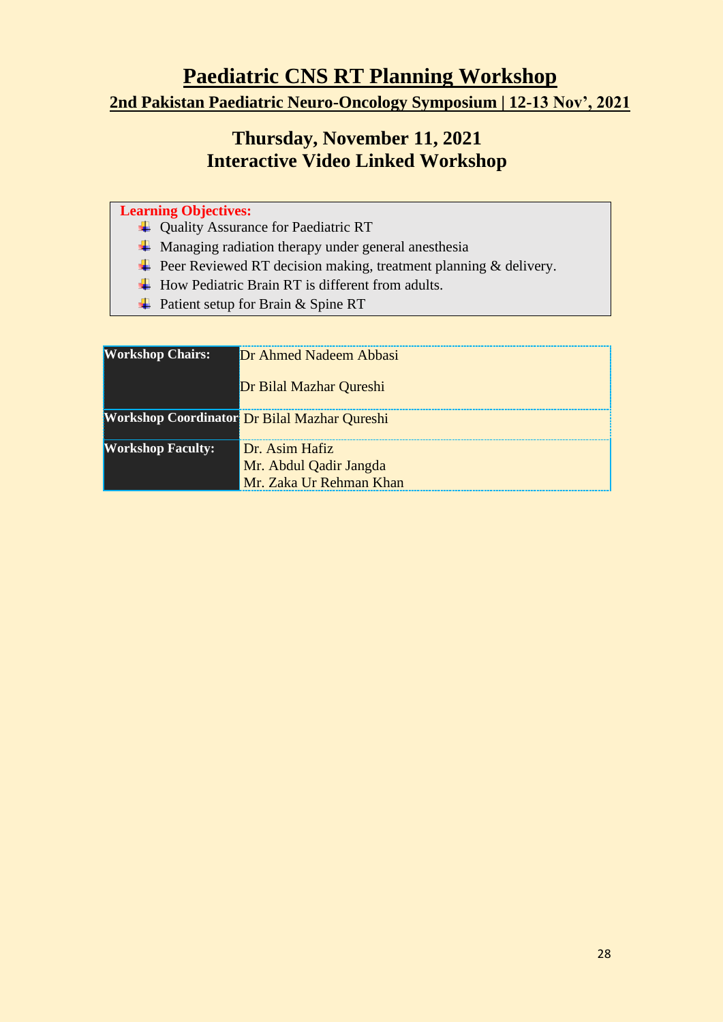**Paediatric CNS RT Planning Workshop**

**2nd Pakistan Paediatric Neuro-Oncology Symposium | 12-13 Nov', 2021**

#### **Thursday, November 11, 2021 Interactive Video Linked Workshop**

#### **Learning Objectives:**

- Quality Assurance for Paediatric RT
- $\overline{\text{M}}$  Managing radiation therapy under general anesthesia
- $\overline{\phantom{a}}$  Peer Reviewed RT decision making, treatment planning & delivery.
- $\overline{\text{H}}$  How Pediatric Brain RT is different from adults.
- $\overline{\text{P}}$  Patient setup for Brain & Spine RT

| <b>Workshop Chairs:</b>  | Dr Ahmed Nadeem Abbasi                              |
|--------------------------|-----------------------------------------------------|
|                          | Dr Bilal Mazhar Qureshi                             |
|                          | <b>Workshop Coordinator</b> Dr Bilal Mazhar Qureshi |
| <b>Workshop Faculty:</b> | Dr. Asim Hafiz                                      |
|                          | Mr. Abdul Qadir Jangda                              |
|                          | Mr. Zaka Ur Rehman Khan                             |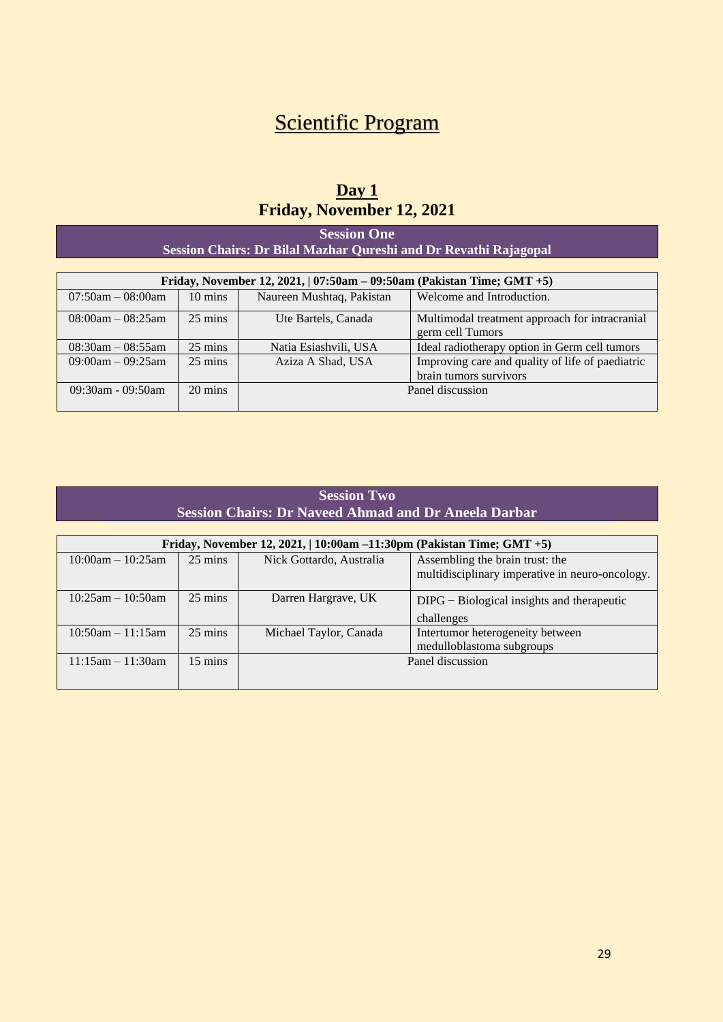## **Scientific Program**

#### **Day 1 Friday, November 12, 2021**

**Session One Session Chairs: Dr Bilal Mazhar Qureshi and Dr Revathi Rajagopal**

| Friday, November 12, 2021, $\vert$ 07:50am – 09:50am (Pakistan Time; GMT +5) |                   |                           |                                                  |
|------------------------------------------------------------------------------|-------------------|---------------------------|--------------------------------------------------|
| $07:50$ am $-08:00$ am                                                       | $10 \text{ mins}$ | Naureen Mushtaq, Pakistan | Welcome and Introduction.                        |
| $08:00am - 08:25am$                                                          | $25 \text{ mins}$ | Ute Bartels, Canada       | Multimodal treatment approach for intracranial   |
|                                                                              |                   |                           | germ cell Tumors                                 |
| $08:30$ am $-08:55$ am                                                       | $25 \text{ mins}$ | Natia Esiashvili, USA     | Ideal radiotherapy option in Germ cell tumors    |
| $09:00am - 09:25am$                                                          | $25 \text{ mins}$ | Aziza A Shad, USA         | Improving care and quality of life of paediatric |
|                                                                              |                   |                           | brain tumors survivors                           |
| $09:30$ am - $09:50$ am                                                      | $20 \text{ mins}$ | Panel discussion          |                                                  |
|                                                                              |                   |                           |                                                  |

| <b>Session Two</b>                                    |
|-------------------------------------------------------|
| Session Chairs: Dr Naveed Ahmad and Dr Aneela Darbar' |
|                                                       |

| Friday, November 12, 2021,   10:00am -11:30pm (Pakistan Time; GMT +5) |                   |                          |                                                 |
|-----------------------------------------------------------------------|-------------------|--------------------------|-------------------------------------------------|
| $10:00$ am $-10:25$ am                                                | $25 \text{ mins}$ | Nick Gottardo, Australia | Assembling the brain trust: the                 |
|                                                                       |                   |                          | multidisciplinary imperative in neuro-oncology. |
| $10:25$ am – $10:50$ am                                               | $25 \text{ mins}$ | Darren Hargrave, UK      | $DIPG - Biological$ insights and therapeutic    |
|                                                                       |                   |                          | challenges                                      |
| $10:50$ am $-11:15$ am                                                | $25 \text{ mins}$ | Michael Taylor, Canada   | Intertumor heterogeneity between                |
|                                                                       |                   |                          | medulloblastoma subgroups                       |
| $11:15$ am $-11:30$ am                                                | $15 \text{ mins}$ | Panel discussion         |                                                 |
|                                                                       |                   |                          |                                                 |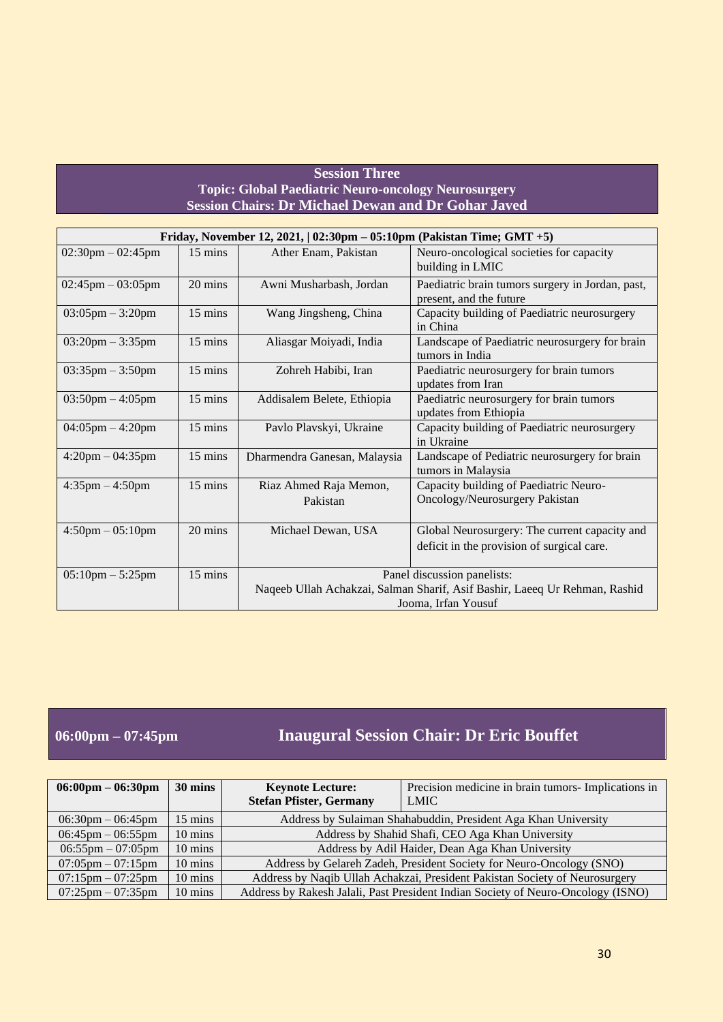#### **Session Three Topic: Global Paediatric Neuro-oncology Neurosurgery Session Chairs: Dr Michael Dewan and Dr Gohar Javed**

| Friday, November 12, 2021, $ 02:30 \text{pm} - 05:10 \text{pm}$ (Pakistan Time; GMT +5) |                   |                                                                            |                                                          |
|-----------------------------------------------------------------------------------------|-------------------|----------------------------------------------------------------------------|----------------------------------------------------------|
| $02:30$ pm $-02:45$ pm                                                                  | $15 \text{ mins}$ | Ather Enam, Pakistan                                                       | Neuro-oncological societies for capacity                 |
|                                                                                         |                   |                                                                            | building in LMIC                                         |
| $02:45$ pm $-03:05$ pm                                                                  | 20 mins           | Awni Musharbash, Jordan                                                    | Paediatric brain tumors surgery in Jordan, past,         |
|                                                                                         |                   |                                                                            | present, and the future                                  |
| $03:05 \text{pm} - 3:20 \text{pm}$                                                      | $15 \text{ mins}$ | Wang Jingsheng, China                                                      | Capacity building of Paediatric neurosurgery<br>in China |
| $03:20 \text{pm} - 3:35 \text{pm}$                                                      | $15 \text{ mins}$ | Aliasgar Moiyadi, India                                                    | Landscape of Paediatric neurosurgery for brain           |
|                                                                                         |                   |                                                                            | tumors in India                                          |
| $03:35$ pm $-3:50$ pm                                                                   | 15 mins           | Zohreh Habibi, Iran                                                        | Paediatric neurosurgery for brain tumors                 |
|                                                                                         |                   |                                                                            | updates from Iran                                        |
| $03:50 \text{pm} - 4:05 \text{pm}$                                                      | $15 \text{ mins}$ | Addisalem Belete, Ethiopia                                                 | Paediatric neurosurgery for brain tumors                 |
|                                                                                         |                   |                                                                            | updates from Ethiopia                                    |
| $04:05$ pm $-4:20$ pm                                                                   | $15 \text{ mins}$ | Pavlo Plavskyi, Ukraine                                                    | Capacity building of Paediatric neurosurgery             |
|                                                                                         |                   |                                                                            | in Ukraine                                               |
| $4:20 \text{pm} - 04:35 \text{pm}$                                                      | $15 \text{ mins}$ | Dharmendra Ganesan, Malaysia                                               | Landscape of Pediatric neurosurgery for brain            |
|                                                                                         |                   |                                                                            | tumors in Malaysia                                       |
| $4:35$ pm $-4:50$ pm                                                                    | 15 mins           | Riaz Ahmed Raja Memon,                                                     | Capacity building of Paediatric Neuro-                   |
|                                                                                         |                   | Pakistan                                                                   | Oncology/Neurosurgery Pakistan                           |
|                                                                                         |                   |                                                                            |                                                          |
| $4:50 \text{pm} - 05:10 \text{pm}$                                                      | 20 mins           | Michael Dewan, USA                                                         | Global Neurosurgery: The current capacity and            |
|                                                                                         |                   |                                                                            | deficit in the provision of surgical care.               |
|                                                                                         |                   |                                                                            |                                                          |
| $05:10$ pm $-5:25$ pm                                                                   | $15 \text{ mins}$ | Panel discussion panelists:                                                |                                                          |
|                                                                                         |                   | Naqeeb Ullah Achakzai, Salman Sharif, Asif Bashir, Laeeq Ur Rehman, Rashid |                                                          |
|                                                                                         |                   | Jooma, Irfan Yousuf                                                        |                                                          |

#### **06:00pm – 07:45pm Inaugural Session Chair: Dr Eric Bouffet**

| $06:00 \text{pm} - 06:30 \text{pm}$ | 30 mins           | <b>Keynote Lecture:</b>                                                          | Precision medicine in brain tumors- Implications in |
|-------------------------------------|-------------------|----------------------------------------------------------------------------------|-----------------------------------------------------|
|                                     |                   | <b>Stefan Pfister, Germany</b>                                                   | <b>LMIC</b>                                         |
| $06:30 \text{pm} - 06:45 \text{pm}$ | 15 mins           | Address by Sulaiman Shahabuddin, President Aga Khan University                   |                                                     |
| $06:45 \text{pm} - 06:55 \text{pm}$ | $10 \text{ mins}$ | Address by Shahid Shafi, CEO Aga Khan University                                 |                                                     |
| $06:55 \text{pm} - 07:05 \text{pm}$ | 10 mins           | Address by Adil Haider, Dean Aga Khan University                                 |                                                     |
| $07:05 \text{pm} - 07:15 \text{pm}$ | $10 \text{ mins}$ | Address by Gelareh Zadeh, President Society for Neuro-Oncology (SNO)             |                                                     |
| $07:15 \text{pm} - 07:25 \text{pm}$ | $10 \text{ mins}$ | Address by Naqib Ullah Achakzai, President Pakistan Society of Neurosurgery      |                                                     |
| $07:25 \text{pm} - 07:35 \text{pm}$ | $10 \text{ mins}$ | Address by Rakesh Jalali, Past President Indian Society of Neuro-Oncology (ISNO) |                                                     |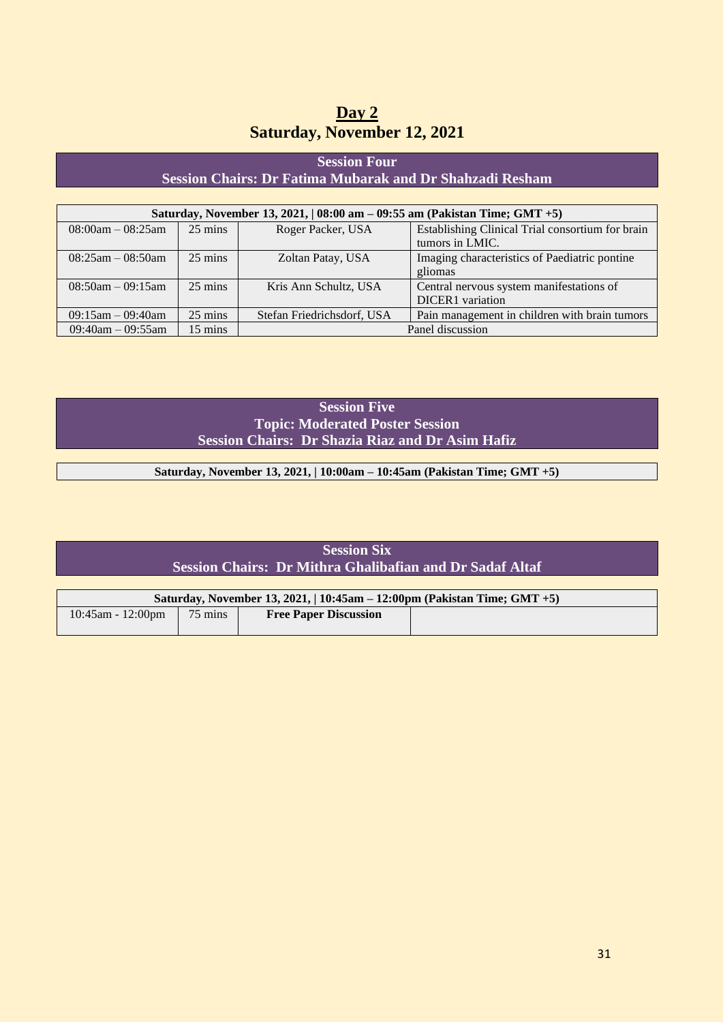| Day 2                              |  |
|------------------------------------|--|
| <b>Saturday, November 12, 2021</b> |  |

#### **Session Four Session Chairs: Dr Fatima Mubarak and Dr Shahzadi Resham**

| Saturday, November 13, 2021,   08:00 am - 09:55 am (Pakistan Time; GMT +5) |                   |                            |                                                  |  |
|----------------------------------------------------------------------------|-------------------|----------------------------|--------------------------------------------------|--|
| $08:00am - 08:25am$                                                        | $25 \text{ mins}$ | Roger Packer, USA          | Establishing Clinical Trial consortium for brain |  |
|                                                                            |                   |                            | tumors in LMIC.                                  |  |
| $08:25am - 08:50am$                                                        | $25 \text{ mins}$ | Zoltan Patay, USA          | Imaging characteristics of Paediatric pontine    |  |
|                                                                            |                   |                            | gliomas                                          |  |
| $08:50am - 09:15am$                                                        | $25 \text{ mins}$ | Kris Ann Schultz, USA      | Central nervous system manifestations of         |  |
|                                                                            |                   |                            | <b>DICER1</b> variation                          |  |
| $09:15$ am $-09:40$ am                                                     | $25 \text{ mins}$ | Stefan Friedrichsdorf, USA | Pain management in children with brain tumors    |  |
| $09:40$ am $-09:55$ am                                                     | $15 \text{ mins}$ | Panel discussion           |                                                  |  |

**Session Five Topic: Moderated Poster Session Session Chairs: Dr Shazia Riaz and Dr Asim Hafiz**

**Saturday, November 13, 2021, | 10:00am – 10:45am (Pakistan Time; GMT +5)**

| <b>Session Six</b>                                       |
|----------------------------------------------------------|
| Session Chairs: Dr Mithra Ghalibafian and Dr Sadaf Altaf |
|                                                          |

| Saturday, November 13, 2021,   10:45am $-$ 12:00pm (Pakistan Time; GMT $+5$ ) |                   |                              |  |
|-------------------------------------------------------------------------------|-------------------|------------------------------|--|
| $10:45$ am - 12:00pm                                                          | $75 \text{ mins}$ | <b>Free Paper Discussion</b> |  |